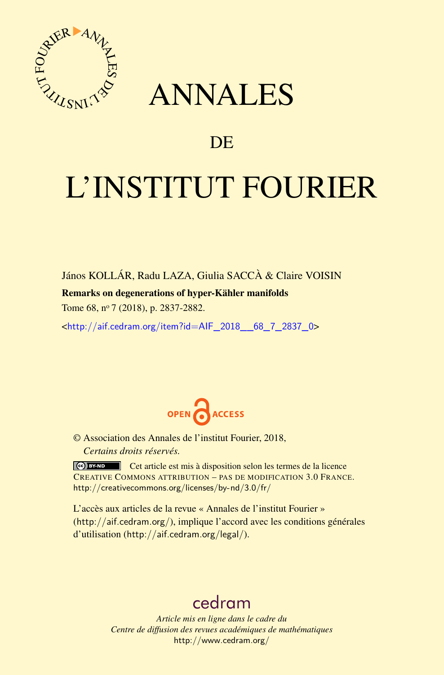

## ANNALES

### **DE**

# L'INSTITUT FOURIER

János KOLLÁR, Radu LAZA, Giulia SACCÀ & Claire VOISIN Remarks on degenerations of hyper-Kähler manifolds Tome 68, nº 7 (2018), p. 2837-2882.

<[http://aif.cedram.org/item?id=AIF\\_2018\\_\\_68\\_7\\_2837\\_0](http://aif.cedram.org/item?id=AIF_2018__68_7_2837_0)>



© Association des Annales de l'institut Fourier, 2018, *Certains droits réservés.*

Cet article est mis à disposition selon les termes de la licence CREATIVE COMMONS ATTRIBUTION – PAS DE MODIFICATION 3.0 FRANCE. <http://creativecommons.org/licenses/by-nd/3.0/fr/>

L'accès aux articles de la revue « Annales de l'institut Fourier » (<http://aif.cedram.org/>), implique l'accord avec les conditions générales d'utilisation (<http://aif.cedram.org/legal/>).

## [cedram](http://www.cedram.org/)

*Article mis en ligne dans le cadre du Centre de diffusion des revues académiques de mathématiques* <http://www.cedram.org/>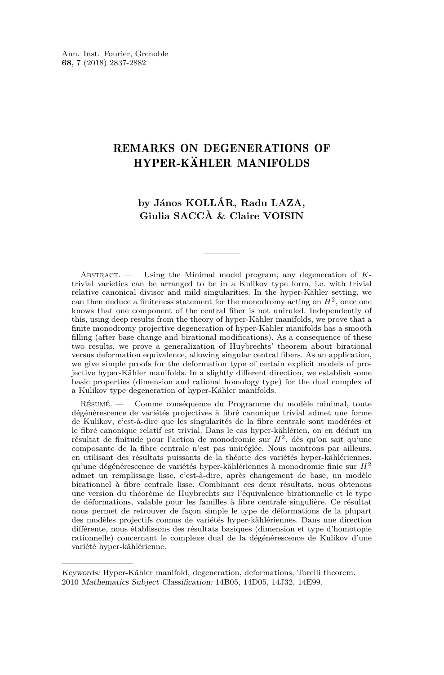#### REMARKS ON DEGENERATIONS OF HYPER-KÄHLER MANIFOLDS

#### **by János KOLLÁR, Radu LAZA, Giulia SACCÀ & Claire VOISIN**

Abstract. — Using the Minimal model program, any degeneration of *K*trivial varieties can be arranged to be in a Kulikov type form, i.e. with trivial relative canonical divisor and mild singularities. In the hyper-Kähler setting, we can then deduce a finiteness statement for the monodromy acting on *H*<sup>2</sup> , once one knows that one component of the central fiber is not uniruled. Independently of this, using deep results from the theory of hyper-Kähler manifolds, we prove that a finite monodromy projective degeneration of hyper-Kähler manifolds has a smooth filling (after base change and birational modifications). As a consequence of these two results, we prove a generalization of Huybrechts' theorem about birational versus deformation equivalence, allowing singular central fibers. As an application, we give simple proofs for the deformation type of certain explicit models of projective hyper-Kähler manifolds. In a slightly different direction, we establish some basic properties (dimension and rational homology type) for the dual complex of a Kulikov type degeneration of hyper-Kähler manifolds.

Résumé. — Comme conséquence du Programme du modèle minimal, toute dégénérescence de variétés projectives à fibré canonique trivial admet une forme de Kulikov, c'est-à-dire que les singularités de la fibre centrale sont modérées et le fibré canonique relatif est trivial. Dans le cas hyper-kählérien, on en déduit un résultat de finitude pour l'action de monodromie sur *H*<sup>2</sup> , dès qu'on sait qu'une composante de la fibre centrale n'est pas uniréglée. Nous montrons par ailleurs, en utilisant des résultats puissants de la théorie des variétés hyper-kählériennes, qu'une dégénérescence de variétés hyper-kählériennes à monodromie finie sur *H*<sup>2</sup> admet un remplissage lisse, c'est-à-dire, après changement de base, un modèle birationnel à fibre centrale lisse. Combinant ces deux résultats, nous obtenons une version du théorème de Huybrechts sur l'équivalence birationnelle et le type de déformations, valable pour les familles à fibre centrale singulière. Ce résultat nous permet de retrouver de façon simple le type de déformations de la plupart des modèles projectifs connus de variétés hyper-kählériennes. Dans une direction différente, nous établissons des résultats basiques (dimension et type d'homotopie rationnelle) concernant le complexe dual de la dégénérescence de Kulikov d'une variété hyper-kählérienne.

Keywords: Hyper-Kähler manifold, degeneration, deformations, Torelli theorem. 2010 Mathematics Subject Classification: 14B05, 14D05, 14J32, 14E99.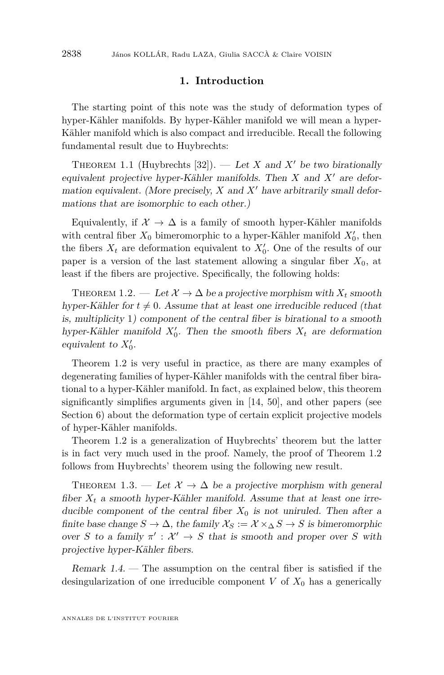#### **1. Introduction**

The starting point of this note was the study of deformation types of hyper-Kähler manifolds. By hyper-Kähler manifold we will mean a hyper-Kähler manifold which is also compact and irreducible. Recall the following fundamental result due to Huybrechts:

<span id="page-2-2"></span>THEOREM 1.1 (Huybrechts [\[32\]](#page-44-0)). — Let *X* and *X'* be two birationally equivalent projective hyper-Kähler manifolds. Then  $X$  and  $X'$  are deformation equivalent. (More precisely,  $X$  and  $X<sup>'</sup>$  have arbitrarily small deformations that are isomorphic to each other.)

Equivalently, if  $\mathcal{X} \to \Delta$  is a family of smooth hyper-Kähler manifolds with central fiber  $X_0$  bimeromorphic to a hyper-Kähler manifold  $X'_0$ , then the fibers  $X_t$  are deformation equivalent to  $X'_0$ . One of the results of our paper is a version of the last statement allowing a singular fiber  $X_0$ , at least if the fibers are projective. Specifically, the following holds:

<span id="page-2-0"></span>THEOREM 1.2. — Let  $\mathcal{X} \to \Delta$  be a projective morphism with  $X_t$  smooth hyper-Kähler for  $t \neq 0$ . Assume that at least one irreducible reduced (that is, multiplicity 1) component of the central fiber is birational to a smooth hyper-Kähler manifold  $X'_0$ . Then the smooth fibers  $X_t$  are deformation equivalent to  $X'_0$ .

Theorem [1.2](#page-2-0) is very useful in practice, as there are many examples of degenerating families of hyper-Kähler manifolds with the central fiber birational to a hyper-Kähler manifold. In fact, as explained below, this theorem significantly simplifies arguments given in [\[14,](#page-43-0) [50\]](#page-45-0), and other papers (see Section [6\)](#page-22-0) about the deformation type of certain explicit projective models of hyper-Kähler manifolds.

Theorem [1.2](#page-2-0) is a generalization of Huybrechts' theorem but the latter is in fact very much used in the proof. Namely, the proof of Theorem [1.2](#page-2-0) follows from Huybrechts' theorem using the following new result.

<span id="page-2-1"></span>THEOREM 1.3. — Let  $\mathcal{X} \to \Delta$  be a projective morphism with general fiber  $X_t$  a smooth hyper-Kähler manifold. Assume that at least one irreducible component of the central fiber  $X_0$  is not uniruled. Then after a finite base change  $S \to \Delta$ , the family  $\mathcal{X}_S := \mathcal{X} \times_{\Delta} S \to S$  is bimeromorphic over *S* to a family  $\pi' : \mathcal{X}' \to S$  that is smooth and proper over *S* with projective hyper-Kähler fibers.

Remark  $1.4.$  — The assumption on the central fiber is satisfied if the desingularization of one irreducible component  $V$  of  $X_0$  has a generically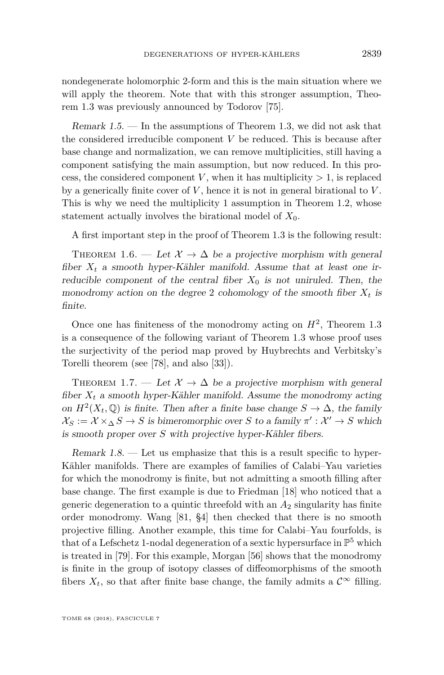nondegenerate holomorphic 2-form and this is the main situation where we will apply the theorem. Note that with this stronger assumption, Theorem [1.3](#page-2-1) was previously announced by Todorov [\[75\]](#page-46-0).

Remark 1.5. — In the assumptions of Theorem [1.3,](#page-2-1) we did not ask that the considered irreducible component *V* be reduced. This is because after base change and normalization, we can remove multiplicities, still having a component satisfying the main assumption, but now reduced. In this process, the considered component *V*, when it has multiplicity  $> 1$ , is replaced by a generically finite cover of *V* , hence it is not in general birational to *V* . This is why we need the multiplicity 1 assumption in Theorem [1.2,](#page-2-0) whose statement actually involves the birational model of  $X_0$ .

A first important step in the proof of Theorem [1.3](#page-2-1) is the following result:

<span id="page-3-1"></span>THEOREM 1.6. — Let  $\mathcal{X} \to \Delta$  be a projective morphism with general fiber  $X_t$  a smooth hyper-Kähler manifold. Assume that at least one irreducible component of the central fiber  $X_0$  is not uniruled. Then, the monodromy action on the degree 2 cohomology of the smooth fiber  $X_t$  is finite.

Once one has finiteness of the monodromy acting on  $H^2$ , Theorem [1.3](#page-2-1) is a consequence of the following variant of Theorem [1.3](#page-2-1) whose proof uses the surjectivity of the period map proved by Huybrechts and Verbitsky's Torelli theorem (see [\[78\]](#page-46-1), and also [\[33\]](#page-44-1)).

<span id="page-3-0"></span>THEOREM 1.7. — Let  $\mathcal{X} \to \Delta$  be a projective morphism with general fiber  $X_t$  a smooth hyper-Kähler manifold. Assume the monodromy acting on  $H^2(X_t, \mathbb{Q})$  is finite. Then after a finite base change  $S \to \Delta$ , the family  $\mathcal{X}_S := \mathcal{X} \times_{\Delta} S \to S$  is bimeromorphic over *S* to a family  $\pi' : \mathcal{X}' \to S$  which is smooth proper over *S* with projective hyper-Kähler fibers.

<span id="page-3-2"></span>Remark  $1.8$ . — Let us emphasize that this is a result specific to hyper-Kähler manifolds. There are examples of families of Calabi–Yau varieties for which the monodromy is finite, but not admitting a smooth filling after base change. The first example is due to Friedman [\[18\]](#page-43-1) who noticed that a generic degeneration to a quintic threefold with an *A*<sup>2</sup> singularity has finite order monodromy. Wang [\[81,](#page-46-2) §4] then checked that there is no smooth projective filling. Another example, this time for Calabi–Yau fourfolds, is that of a Lefschetz 1-nodal degeneration of a sextic hypersurface in  $\mathbb{P}^5$  which is treated in [\[79\]](#page-46-3). For this example, Morgan [\[56\]](#page-45-1) shows that the monodromy is finite in the group of isotopy classes of diffeomorphisms of the smooth fibers  $X_t$ , so that after finite base change, the family admits a  $\mathcal{C}^{\infty}$  filling.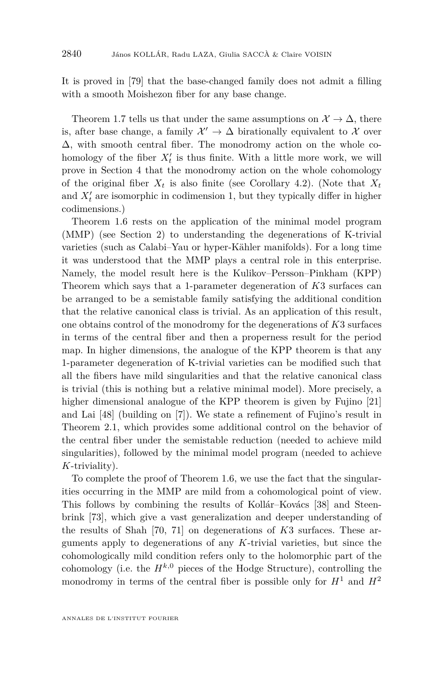It is proved in [\[79\]](#page-46-3) that the base-changed family does not admit a filling with a smooth Moishezon fiber for any base change.

Theorem [1.7](#page-3-0) tells us that under the same assumptions on  $\mathcal{X} \to \Delta$ , there is, after base change, a family  $\mathcal{X}' \to \Delta$  birationally equivalent to X over  $\Delta$ , with smooth central fiber. The monodromy action on the whole cohomology of the fiber  $X_t'$  is thus finite. With a little more work, we will prove in Section [4](#page-16-0) that the monodromy action on the whole cohomology of the original fiber  $X_t$  is also finite (see Corollary [4.2\)](#page-18-0). (Note that  $X_t$ and  $X_t'$  are isomorphic in codimension 1, but they typically differ in higher codimensions.)

Theorem [1.6](#page-3-1) rests on the application of the minimal model program (MMP) (see Section [2\)](#page-8-0) to understanding the degenerations of K-trivial varieties (such as Calabi–Yau or hyper-Kähler manifolds). For a long time it was understood that the MMP plays a central role in this enterprise. Namely, the model result here is the Kulikov–Persson–Pinkham (KPP) Theorem which says that a 1-parameter degeneration of *K*3 surfaces can be arranged to be a semistable family satisfying the additional condition that the relative canonical class is trivial. As an application of this result, one obtains control of the monodromy for the degenerations of *K*3 surfaces in terms of the central fiber and then a properness result for the period map. In higher dimensions, the analogue of the KPP theorem is that any 1-parameter degeneration of K-trivial varieties can be modified such that all the fibers have mild singularities and that the relative canonical class is trivial (this is nothing but a relative minimal model). More precisely, a higher dimensional analogue of the KPP theorem is given by Fujino [\[21\]](#page-43-2) and Lai [\[48\]](#page-45-2) (building on [\[7\]](#page-43-3)). We state a refinement of Fujino's result in Theorem [2.1,](#page-8-1) which provides some additional control on the behavior of the central fiber under the semistable reduction (needed to achieve mild singularities), followed by the minimal model program (needed to achieve *K*-triviality).

To complete the proof of Theorem [1.6,](#page-3-1) we use the fact that the singularities occurring in the MMP are mild from a cohomological point of view. This follows by combining the results of Kollár–Kovács [\[38\]](#page-44-2) and Steenbrink [\[73\]](#page-46-4), which give a vast generalization and deeper understanding of the results of Shah [\[70,](#page-46-5) [71\]](#page-46-6) on degenerations of *K*3 surfaces. These arguments apply to degenerations of any *K*-trivial varieties, but since the cohomologically mild condition refers only to the holomorphic part of the cohomology (i.e. the  $H^{k,0}$  pieces of the Hodge Structure), controlling the monodromy in terms of the central fiber is possible only for  $H^1$  and  $H^2$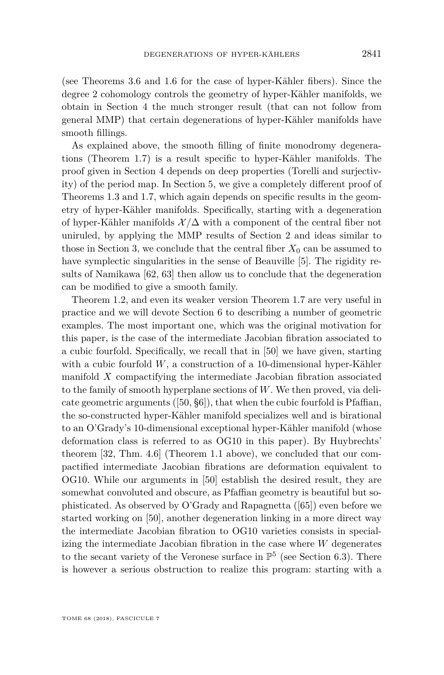(see Theorems [3.6](#page-14-0) and [1.6](#page-3-1) for the case of hyper-Kähler fibers). Since the degree 2 cohomology controls the geometry of hyper-Kähler manifolds, we obtain in Section [4](#page-16-0) the much stronger result (that can not follow from general MMP) that certain degenerations of hyper-Kähler manifolds have smooth fillings.

As explained above, the smooth filling of finite monodromy degenerations (Theorem [1.7\)](#page-3-0) is a result specific to hyper-Kähler manifolds. The proof given in Section [4](#page-16-0) depends on deep properties (Torelli and surjectivity) of the period map. In Section [5,](#page-19-0) we give a completely different proof of Theorems [1.3](#page-2-1) and [1.7,](#page-3-0) which again depends on specific results in the geometry of hyper-Kähler manifolds. Specifically, starting with a degeneration of hyper-Kähler manifolds  $\mathcal{X}/\Delta$  with a component of the central fiber not uniruled, by applying the MMP results of Section [2](#page-8-0) and ideas similar to those in Section [3,](#page-11-0) we conclude that the central fiber  $X_0$  can be assumed to have symplectic singularities in the sense of Beauville [\[5\]](#page-43-4). The rigidity results of Namikawa [\[62,](#page-45-3) [63\]](#page-45-4) then allow us to conclude that the degeneration can be modified to give a smooth family.

Theorem [1.2,](#page-2-0) and even its weaker version Theorem [1.7](#page-3-0) are very useful in practice and we will devote Section [6](#page-22-0) to describing a number of geometric examples. The most important one, which was the original motivation for this paper, is the case of the intermediate Jacobian fibration associated to a cubic fourfold. Specifically, we recall that in [\[50\]](#page-45-0) we have given, starting with a cubic fourfold *W*, a construction of a 10-dimensional hyper-Kähler manifold *X* compactifying the intermediate Jacobian fibration associated to the family of smooth hyperplane sections of *W*. We then proved, via delicate geometric arguments ([\[50,](#page-45-0) §6]), that when the cubic fourfold is Pfaffian, the so-constructed hyper-Kähler manifold specializes well and is birational to an O'Grady's 10-dimensional exceptional hyper-Kähler manifold (whose deformation class is referred to as OG10 in this paper). By Huybrechts' theorem [\[32,](#page-44-0) Thm. 4.6] (Theorem [1.1](#page-2-2) above), we concluded that our compactified intermediate Jacobian fibrations are deformation equivalent to OG10. While our arguments in [\[50\]](#page-45-0) establish the desired result, they are somewhat convoluted and obscure, as Pfaffian geometry is beautiful but sophisticated. As observed by O'Grady and Rapagnetta ([\[65\]](#page-45-5)) even before we started working on [\[50\]](#page-45-0), another degeneration linking in a more direct way the intermediate Jacobian fibration to OG10 varieties consists in specializing the intermediate Jacobian fibration in the case where *W* degenerates to the secant variety of the Veronese surface in  $\mathbb{P}^5$  (see Section [6.3\)](#page-25-0). There is however a serious obstruction to realize this program: starting with a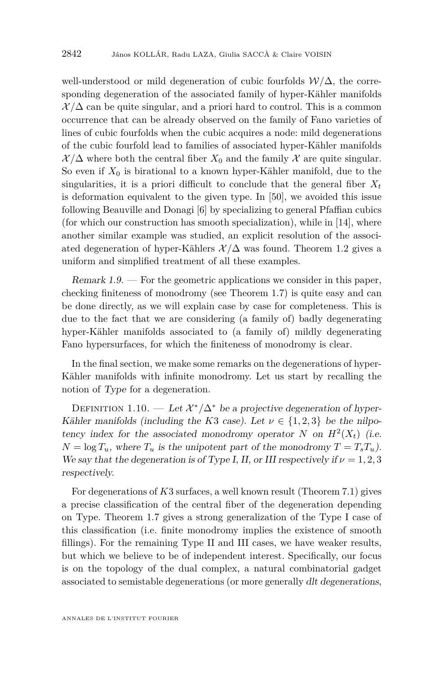well-understood or mild degeneration of cubic fourfolds W*/*∆, the corresponding degeneration of the associated family of hyper-Kähler manifolds  $\mathcal{X}/\Delta$  can be quite singular, and a priori hard to control. This is a common occurrence that can be already observed on the family of Fano varieties of lines of cubic fourfolds when the cubic acquires a node: mild degenerations of the cubic fourfold lead to families of associated hyper-Kähler manifolds  $\mathcal{X}/\Delta$  where both the central fiber  $X_0$  and the family  $\mathcal X$  are quite singular. So even if  $X_0$  is birational to a known hyper-Kähler manifold, due to the singularities, it is a priori difficult to conclude that the general fiber  $X_t$ is deformation equivalent to the given type. In [\[50\]](#page-45-0), we avoided this issue following Beauville and Donagi [\[6\]](#page-43-5) by specializing to general Pfaffian cubics (for which our construction has smooth specialization), while in [\[14\]](#page-43-0), where another similar example was studied, an explicit resolution of the associated degeneration of hyper-Kählers  $\mathcal{X}/\Delta$  was found. Theorem [1.2](#page-2-0) gives a uniform and simplified treatment of all these examples.

Remark  $1.9.$  — For the geometric applications we consider in this paper, checking finiteness of monodromy (see Theorem [1.7\)](#page-3-0) is quite easy and can be done directly, as we will explain case by case for completeness. This is due to the fact that we are considering (a family of) badly degenerating hyper-Kähler manifolds associated to (a family of) mildly degenerating Fano hypersurfaces, for which the finiteness of monodromy is clear.

In the final section, we make some remarks on the degenerations of hyper-Kähler manifolds with infinite monodromy. Let us start by recalling the notion of Type for a degeneration.

<span id="page-6-0"></span>DEFINITION 1.10. — Let  $\mathcal{X}^*/\Delta^*$  be a projective degeneration of hyper-Kähler manifolds (including the *K*3 case). Let  $\nu \in \{1, 2, 3\}$  be the nilpotency index for the associated monodromy operator *N* on  $H^2(X_t)$  (i.e.  $N = \log T_u$ , where  $T_u$  is the unipotent part of the monodromy  $T = T_s T_u$ ). We say that the degeneration is of Type I, II, or III respectively if  $\nu = 1, 2, 3$ respectively.

For degenerations of *K*3 surfaces, a well known result (Theorem [7.1\)](#page-29-0) gives a precise classification of the central fiber of the degeneration depending on Type. Theorem [1.7](#page-3-0) gives a strong generalization of the Type I case of this classification (i.e. finite monodromy implies the existence of smooth fillings). For the remaining Type II and III cases, we have weaker results, but which we believe to be of independent interest. Specifically, our focus is on the topology of the dual complex, a natural combinatorial gadget associated to semistable degenerations (or more generally dlt degenerations,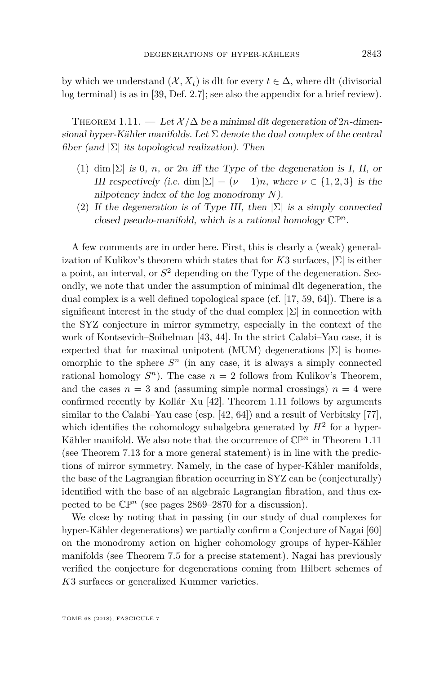by which we understand  $(X, X_t)$  is dlt for every  $t \in \Delta$ , where dlt (divisorial log terminal) is as in [\[39,](#page-44-3) Def. 2.7]; see also the appendix for a brief review).

<span id="page-7-0"></span>THEOREM 1.11. — Let  $\mathcal{X}/\Delta$  be a minimal dlt degeneration of 2*n*-dimensional hyper-Kähler manifolds. Let  $\Sigma$  denote the dual complex of the central fiber (and  $|\Sigma|$  its topological realization). Then

- (1) dim  $|\Sigma|$  is 0, *n*, or 2*n* iff the Type of the degeneration is I, II, or III respectively (i.e. dim  $|\Sigma| = (\nu - 1)n$ , where  $\nu \in \{1, 2, 3\}$  is the nilpotency index of the log monodromy *N*).
- (2) If the degeneration is of Type III, then  $|\Sigma|$  is a simply connected closed pseudo-manifold, which is a rational homology  $\mathbb{CP}^n$ .

A few comments are in order here. First, this is clearly a (weak) generalization of Kulikov's theorem which states that for *K*3 surfaces, |Σ| is either a point, an interval, or *S* <sup>2</sup> depending on the Type of the degeneration. Secondly, we note that under the assumption of minimal dlt degeneration, the dual complex is a well defined topological space (cf. [\[17,](#page-43-6) [59,](#page-45-6) [64\]](#page-45-7)). There is a significant interest in the study of the dual complex  $|\Sigma|$  in connection with the SYZ conjecture in mirror symmetry, especially in the context of the work of Kontsevich–Soibelman [\[43,](#page-44-4) [44\]](#page-45-8). In the strict Calabi–Yau case, it is expected that for maximal unipotent (MUM) degenerations  $|\Sigma|$  is homeomorphic to the sphere  $S<sup>n</sup>$  (in any case, it is always a simply connected rational homology  $S<sup>n</sup>$ ). The case  $n = 2$  follows from Kulikov's Theorem, and the cases  $n = 3$  and (assuming simple normal crossings)  $n = 4$  were confirmed recently by Kollár–Xu [\[42\]](#page-44-5). Theorem [1.11](#page-7-0) follows by arguments similar to the Calabi–Yau case (esp. [\[42,](#page-44-5) [64\]](#page-45-7)) and a result of Verbitsky [\[77\]](#page-46-7), which identifies the cohomology subalgebra generated by  $H^2$  for a hyper-Kähler manifold. We also note that the occurrence of  $\mathbb{CP}^n$  in Theorem [1.11](#page-7-0) (see Theorem [7.13](#page-35-0) for a more general statement) is in line with the predictions of mirror symmetry. Namely, in the case of hyper-Kähler manifolds, the base of the Lagrangian fibration occurring in SYZ can be (conjecturally) identified with the base of an algebraic Lagrangian fibration, and thus expected to be  $\mathbb{CP}^n$  (see pages [2869–2870](#page-33-0) for a discussion).

We close by noting that in passing (in our study of dual complexes for hyper-Kähler degenerations) we partially confirm a Conjecture of Nagai [\[60\]](#page-45-9) on the monodromy action on higher cohomology groups of hyper-Kähler manifolds (see Theorem [7.5](#page-30-0) for a precise statement). Nagai has previously verified the conjecture for degenerations coming from Hilbert schemes of *K*3 surfaces or generalized Kummer varieties.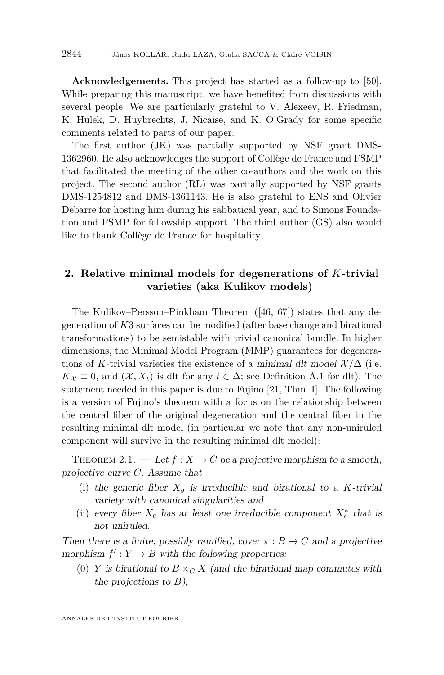**Acknowledgements.** This project has started as a follow-up to [\[50\]](#page-45-0). While preparing this manuscript, we have benefited from discussions with several people. We are particularly grateful to V. Alexeev, R. Friedman, K. Hulek, D. Huybrechts, J. Nicaise, and K. O'Grady for some specific comments related to parts of our paper.

The first author (JK) was partially supported by NSF grant DMS-1362960. He also acknowledges the support of Collège de France and FSMP that facilitated the meeting of the other co-authors and the work on this project. The second author (RL) was partially supported by NSF grants DMS-1254812 and DMS-1361143. He is also grateful to ENS and Olivier Debarre for hosting him during his sabbatical year, and to Simons Foundation and FSMP for fellowship support. The third author (GS) also would like to thank Collège de France for hospitality.

#### <span id="page-8-0"></span>**2. Relative minimal models for degenerations of** *K***-trivial varieties (aka Kulikov models)**

The Kulikov–Persson–Pinkham Theorem ([\[46,](#page-45-10) [67\]](#page-46-8)) states that any degeneration of *K*3 surfaces can be modified (after base change and birational transformations) to be semistable with trivial canonical bundle. In higher dimensions, the Minimal Model Program (MMP) guarantees for degenerations of *K*-trivial varieties the existence of a minimal dlt model  $\mathcal{X}/\Delta$  (i.e.  $K_{\mathcal{X}} \equiv 0$ , and  $(\mathcal{X}, X_t)$  is dlt for any  $t \in \Delta$ ; see Definition [A.1](#page-40-0) for dlt). The statement needed in this paper is due to Fujino [\[21,](#page-43-2) Thm. I]. The following is a version of Fujino's theorem with a focus on the relationship between the central fiber of the original degeneration and the central fiber in the resulting minimal dlt model (in particular we note that any non-uniruled component will survive in the resulting minimal dlt model):

<span id="page-8-1"></span>THEOREM 2.1. — Let  $f: X \to C$  be a projective morphism to a smooth, projective curve *C*. Assume that

- (i) the generic fiber  $X_q$  is irreducible and birational to a *K*-trivial variety with canonical singularities and
- (ii) every fiber  $X_c$  has at least one irreducible component  $X_c^*$  that is not uniruled.

Then there is a finite, possibly ramified, cover  $\pi : B \to C$  and a projective morphism  $f': Y \to B$  with the following properties:

(0) *Y* is birational to  $B \times_C X$  (and the birational map commutes with the projections to *B*),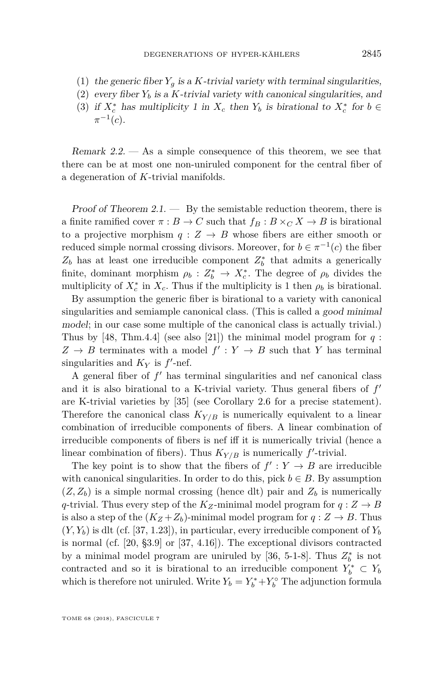- (1) the generic fiber  $Y_g$  is a *K*-trivial variety with terminal singularities,
- (2) every fiber  $Y_b$  is a K-trivial variety with canonical singularities, and
- (3) if  $X_c^*$  has multiplicity 1 in  $X_c$  then  $Y_b$  is birational to  $X_c^*$  for  $b \in$  $\pi^{-1}(c).$

Remark  $2.2$ .  $-$  As a simple consequence of this theorem, we see that there can be at most one non-uniruled component for the central fiber of a degeneration of *K*-trivial manifolds.

Proof of Theorem  $2.1.$  — By the semistable reduction theorem, there is a finite ramified cover  $\pi : B \to C$  such that  $f_B : B \times_C X \to B$  is birational to a projective morphism  $q: Z \to B$  whose fibers are either smooth or reduced simple normal crossing divisors. Moreover, for  $b \in \pi^{-1}(c)$  the fiber  $Z_b$  has at least one irreducible component  $Z_b^*$  that admits a generically finite, dominant morphism  $\rho_b: Z_b^* \to X_c^*$ . The degree of  $\rho_b$  divides the multiplicity of  $X_c^*$  in  $X_c$ . Thus if the multiplicity is 1 then  $\rho_b$  is birational.

By assumption the generic fiber is birational to a variety with canonical singularities and semiample canonical class. (This is called a good minimal model; in our case some multiple of the canonical class is actually trivial.) Thus by [\[48,](#page-45-2) Thm.4.4] (see also [\[21\]](#page-43-2)) the minimal model program for *q* :  $Z \rightarrow B$  terminates with a model  $f' : Y \rightarrow B$  such that *Y* has terminal singularities and  $K_Y$  is  $f'$ -nef.

A general fiber of  $f'$  has terminal singularities and nef canonical class and it is also birational to a K-trivial variety. Thus general fibers of  $f'$ are K-trivial varieties by [\[35\]](#page-44-6) (see Corollary [2.6](#page-11-1) for a precise statement). Therefore the canonical class  $K_{Y/B}$  is numerically equivalent to a linear combination of irreducible components of fibers. A linear combination of irreducible components of fibers is nef iff it is numerically trivial (hence a linear combination of fibers). Thus  $K_{Y/B}$  is numerically  $f'$ -trivial.

The key point is to show that the fibers of  $f': Y \to B$  are irreducible with canonical singularities. In order to do this, pick  $b \in B$ . By assumption  $(Z, Z_b)$  is a simple normal crossing (hence dlt) pair and  $Z_b$  is numerically *q*-trivial. Thus every step of the  $K_Z$ -minimal model program for  $q: Z \to B$ is also a step of the  $(K_Z + Z_b)$ -minimal model program for  $q: Z \to B$ . Thus  $(Y, Y_b)$  is dlt (cf. [\[37,](#page-44-7) 1.23]), in particular, every irreducible component of  $Y_b$ is normal (cf. [\[20,](#page-43-7) §3.9] or [\[37,](#page-44-7) 4.16]). The exceptional divisors contracted by a minimal model program are uniruled by [\[36,](#page-44-8) 5-1-8]. Thus  $Z_b^*$  is not contracted and so it is birational to an irreducible component  $Y_b^* \subset Y_b$ which is therefore not uniruled. Write  $Y_b = Y_b^* + Y_b^{\circ}$  The adjunction formula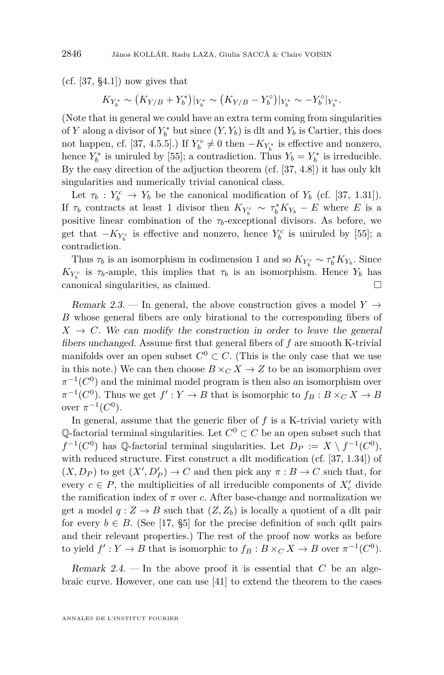$(cf. [37, §4.1])$  $(cf. [37, §4.1])$  $(cf. [37, §4.1])$  now gives that

$$
K_{Y_b^*} \sim (K_{Y/B} + Y_b^*)|_{Y_b^*} \sim (K_{Y/B} - Y_b^{\circ})|_{Y_b^*} \sim -Y_b^{\circ}|_{Y_b^*}.
$$

(Note that in general we could have an extra term coming from singularities of *Y* along a divisor of  $Y_b^*$  but since  $(Y, Y_b)$  is dlt and  $Y_b$  is Cartier, this does not happen, cf. [\[37,](#page-44-7) 4.5.5].) If  $Y_b^{\circ} \neq 0$  then  $-K_{Y_b^*}$  is effective and nonzero, hence  $Y_b^*$  is uniruled by [\[55\]](#page-45-11); a contradiction. Thus  $Y_b = Y_b^*$  is irreducible. By the easy direction of the adjuction theorem (cf. [\[37,](#page-44-7) 4.8]) it has only klt singularities and numerically trivial canonical class.

Let  $\tau_b$  :  $Y_b^c \to Y_b$  be the canonical modification of  $Y_b$  (cf. [\[37,](#page-44-7) 1.31]). If  $\tau_b$  contracts at least 1 divisor then  $K_{Y_b^c} \sim \tau_b^* K_{Y_b} - E$  where *E* is a positive linear combination of the  $\tau_b$ -exceptional divisors. As before, we get that  $-K_{Y_b^c}$  is effective and nonzero, hence  $Y_b^c$  is uniruled by [\[55\]](#page-45-11); a contradiction.

Thus  $\tau_b$  is an isomorphism in codimension 1 and so  $K_{Y_b^c} \sim \tau_b^* K_{Y_b}$ . Since  $K_{Y_b^c}$  is  $\tau_b$ -ample, this implies that  $\tau_b$  is an isomorphism. Hence  $Y_b$  has canonical singularities, as claimed.

<span id="page-10-0"></span>Remark 2.3. — In general, the above construction gives a model  $Y \rightarrow$ *B* whose general fibers are only birational to the corresponding fibers of  $X \rightarrow C$ . We can modify the construction in order to leave the general fibers unchanged. Assume first that general fibers of *f* are smooth K-trivial manifolds over an open subset  $C^0 \subset C$ . (This is the only case that we use in this note.) We can then choose  $B \times_C X \to Z$  to be an isomorphism over  $\pi^{-1}(C^0)$  and the minimal model program is then also an isomorphism over  $\pi^{-1}(C^0)$ . Thus we get  $f': Y \to B$  that is isomorphic to  $f_B: B \times_C X \to B$ over  $\pi^{-1}(C^0)$ .

In general, assume that the generic fiber of *f* is a K-trivial variety with Q-factorial terminal singularities. Let  $C^0 \subset C$  be an open subset such that  $f^{-1}(C^0)$  has Q-factorial terminal singularities. Let  $D_P := X \setminus f^{-1}(C^0)$ , with reduced structure. First construct a dlt modification (cf. [\[37,](#page-44-7) 1.34]) of  $(X, D_P)$  to get  $(X', D'_P) \to C$  and then pick any  $\pi : B \to C$  such that, for every  $c \in P$ , the multiplicities of all irreducible components of  $X_c'$  divide the ramification index of  $\pi$  over *c*. After base-change and normalization we get a model  $q: Z \to B$  such that  $(Z, Z_b)$  is locally a quotient of a dlt pair for every  $b \in B$ . (See [\[17,](#page-43-6) §5] for the precise definition of such qdlt pairs and their relevant properties.) The rest of the proof now works as before to yield  $f': Y \to B$  that is isomorphic to  $f_B: B \times_C X \to B$  over  $\pi^{-1}(C^0)$ .

<span id="page-10-1"></span>Remark 2.4. — In the above proof it is essential that *C* be an algebraic curve. However, one can use [\[41\]](#page-44-9) to extend the theorem to the cases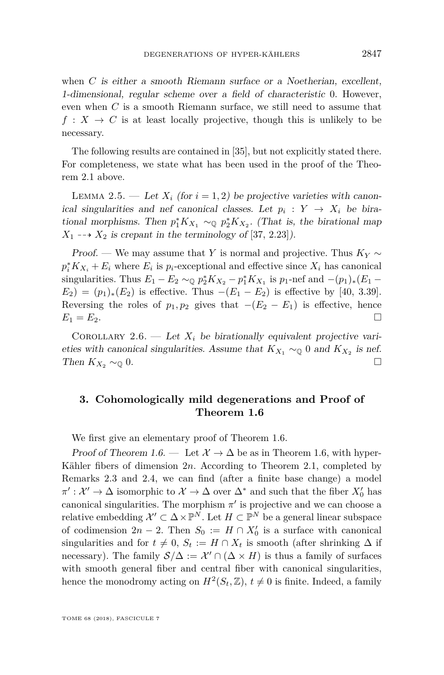when *C* is either a smooth Riemann surface or a Noetherian, excellent, 1-dimensional, regular scheme over a field of characteristic 0. However, even when *C* is a smooth Riemann surface, we still need to assume that  $f: X \to C$  is at least locally projective, though this is unlikely to be necessary.

The following results are contained in [\[35\]](#page-44-6), but not explicitly stated there. For completeness, we state what has been used in the proof of the Theorem [2.1](#page-8-1) above.

LEMMA 2.5. — Let  $X_i$  (for  $i = 1, 2$ ) be projective varieties with canonical singularities and nef canonical classes. Let  $p_i: Y \to X_i$  be birational morphisms. Then  $p_1^* K_{X_1} \sim_{\mathbb{Q}} p_2^* K_{X_2}$ . (That is, the birational map  $X_1 \longrightarrow X_2$  is crepant in the terminology of [\[37,](#page-44-7) 2.23]).

Proof. — We may assume that *Y* is normal and projective. Thus  $K_Y \sim$  $p_i^* K_{X_i} + E_i$  where  $E_i$  is  $p_i$ -exceptional and effective since  $X_i$  has canonical singularities. Thus  $E_1 - E_2 \sim_{\mathbb{Q}} p_2^* K_{X_2} - p_1^* K_{X_1}$  is  $p_1$ -nef and  $-(p_1)_*(E_1 E_2$ ) =  $(p_1)_*(E_2)$  is effective. Thus  $-(E_1 - E_2)$  is effective by [\[40,](#page-44-10) 3.39]. Reversing the roles of  $p_1, p_2$  gives that  $-(E_2 - E_1)$  is effective, hence  $E_1 = E_2.$ 

<span id="page-11-1"></span>COROLLARY 2.6. — Let  $X_i$  be birationally equivalent projective varieties with canonical singularities. Assume that  $K_{X_1} \sim_{\mathbb{Q}} 0$  and  $K_{X_2}$  is nef. Then  $K_{X_2} \sim_{\mathbb{Q}} 0$ .

#### <span id="page-11-0"></span>**3. Cohomologically mild degenerations and Proof of Theorem [1.6](#page-3-1)**

We first give an elementary proof of Theorem [1.6.](#page-3-1)

Proof of Theorem [1.6.](#page-3-1) — Let  $\mathcal{X} \to \Delta$  be as in Theorem [1.6,](#page-3-1) with hyper-Kähler fibers of dimension 2*n*. According to Theorem [2.1,](#page-8-1) completed by Remarks [2.3](#page-10-0) and [2.4,](#page-10-1) we can find (after a finite base change) a model  $\pi': \mathcal{X}' \to \Delta$  isomorphic to  $\mathcal{X} \to \Delta$  over  $\Delta^*$  and such that the fiber  $X'_0$  has canonical singularities. The morphism  $\pi'$  is projective and we can choose a relative embedding  $\mathcal{X}' \subset \Delta \times \mathbb{P}^N$ . Let  $H \subset \mathbb{P}^N$  be a general linear subspace of codimension  $2n - 2$ . Then  $S_0 := H \cap X'_0$  is a surface with canonical singularities and for  $t \neq 0$ ,  $S_t := H \cap X_t$  is smooth (after shrinking  $\Delta$  if necessary). The family  $S/\Delta := \mathcal{X}' \cap (\Delta \times H)$  is thus a family of surfaces with smooth general fiber and central fiber with canonical singularities, hence the monodromy acting on  $H^2(S_t, \mathbb{Z}), t \neq 0$  is finite. Indeed, a family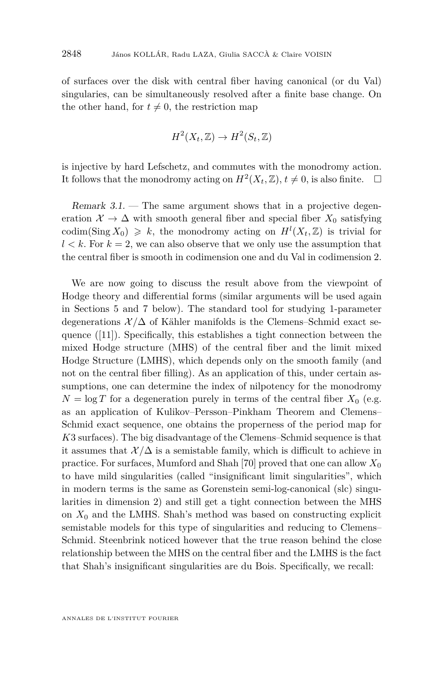of surfaces over the disk with central fiber having canonical (or du Val) singularies, can be simultaneously resolved after a finite base change. On the other hand, for  $t \neq 0$ , the restriction map

$$
H^2(X_t, \mathbb{Z}) \to H^2(S_t, \mathbb{Z})
$$

is injective by hard Lefschetz, and commutes with the monodromy action. It follows that the monodromy acting on  $H^2(X_t, \mathbb{Z}), t \neq 0$ , is also finite.  $\Box$ 

Remark  $3.1$ .  $-$  The same argument shows that in a projective degeneration  $\mathcal{X} \to \Delta$  with smooth general fiber and special fiber  $X_0$  satisfying codim(Sing  $X_0$ )  $\geq k$ , the monodromy acting on  $H^l(X_t, \mathbb{Z})$  is trivial for  $l < k$ . For  $k = 2$ , we can also observe that we only use the assumption that the central fiber is smooth in codimension one and du Val in codimension 2.

We are now going to discuss the result above from the viewpoint of Hodge theory and differential forms (similar arguments will be used again in Sections [5](#page-19-0) and [7](#page-28-0) below). The standard tool for studying 1-parameter degenerations  $\mathcal{X}/\Delta$  of Kähler manifolds is the Clemens–Schmid exact sequence ([\[11\]](#page-43-8)). Specifically, this establishes a tight connection between the mixed Hodge structure (MHS) of the central fiber and the limit mixed Hodge Structure (LMHS), which depends only on the smooth family (and not on the central fiber filling). As an application of this, under certain assumptions, one can determine the index of nilpotency for the monodromy  $N = \log T$  for a degeneration purely in terms of the central fiber  $X_0$  (e.g. as an application of Kulikov–Persson–Pinkham Theorem and Clemens– Schmid exact sequence, one obtains the properness of the period map for *K*3 surfaces). The big disadvantage of the Clemens–Schmid sequence is that it assumes that  $\mathcal{X}/\Delta$  is a semistable family, which is difficult to achieve in practice. For surfaces, Mumford and Shah [\[70\]](#page-46-5) proved that one can allow *X*<sup>0</sup> to have mild singularities (called "insignificant limit singularities", which in modern terms is the same as Gorenstein semi-log-canonical (slc) singularities in dimension 2) and still get a tight connection between the MHS on  $X_0$  and the LMHS. Shah's method was based on constructing explicit semistable models for this type of singularities and reducing to Clemens– Schmid. Steenbrink noticed however that the true reason behind the close relationship between the MHS on the central fiber and the LMHS is the fact that Shah's insignificant singularities are du Bois. Specifically, we recall: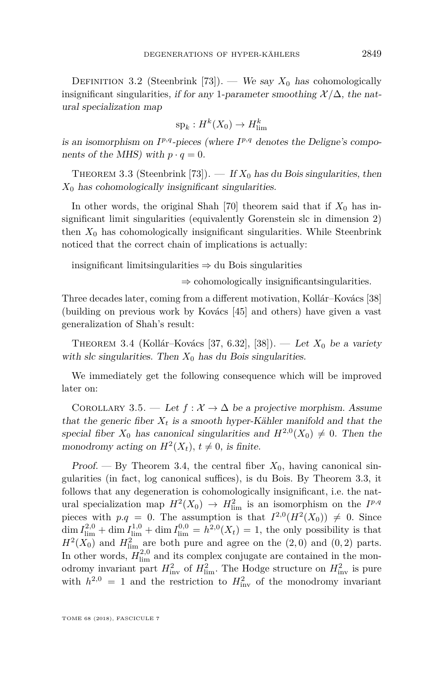<span id="page-13-3"></span>DEFINITION 3.2 (Steenbrink [\[73\]](#page-46-4)). — We say  $X_0$  has cohomologically insignificant singularities, if for any 1-parameter smoothing  $\mathcal{X}/\Delta$ , the natural specialization map

$$
\mathrm{sp}_k: H^k(X_0) \to H^k_{\mathrm{lim}}
$$

is an isomorphism on  $I^{p,q}$ -pieces (where  $I^{p,q}$  denotes the Deligne's components of the MHS) with  $p \cdot q = 0$ .

<span id="page-13-1"></span>THEOREM 3.3 (Steenbrink [\[73\]](#page-46-4)). — If  $X_0$  has du Bois singularities, then *X*<sup>0</sup> has cohomologically insignificant singularities.

In other words, the original Shah [\[70\]](#page-46-5) theorem said that if  $X_0$  has insignificant limit singularities (equivalently Gorenstein slc in dimension 2) then  $X_0$  has cohomologically insignificant singularities. While Steenbrink noticed that the correct chain of implications is actually:

insignificant limitsingularities ⇒ du Bois singularities

⇒ cohomologically insignificantsingularities*.*

Three decades later, coming from a different motivation, Kollár–Kovács [\[38\]](#page-44-2) (building on previous work by Kovács [\[45\]](#page-45-12) and others) have given a vast generalization of Shah's result:

<span id="page-13-0"></span>Theorem 3.4 (Kollár–Kovács [\[37,](#page-44-7) 6.32], [\[38\]](#page-44-2)). — Let *X*<sup>0</sup> be a variety with slc singularities. Then  $X_0$  has du Bois singularities.

We immediately get the following consequence which will be improved later on:

<span id="page-13-2"></span>COROLLARY 3.5. — Let  $f : \mathcal{X} \to \Delta$  be a projective morphism. Assume that the generic fiber  $X_t$  is a smooth hyper-Kähler manifold and that the special fiber  $X_0$  has canonical singularities and  $H^{2,0}(X_0) \neq 0$ . Then the monodromy acting on  $H^2(X_t)$ ,  $t \neq 0$ , is finite.

Proof. — By Theorem [3.4,](#page-13-0) the central fiber  $X_0$ , having canonical singularities (in fact, log canonical suffices), is du Bois. By Theorem [3.3,](#page-13-1) it follows that any degeneration is cohomologically insignificant, i.e. the natural specialization map  $H^2(X_0) \to H^2_{\text{lim}}$  is an isomorphism on the  $I^{p,q}$ pieces with  $p.q = 0$ . The assumption is that  $I^{2,0}(H^2(X_0)) \neq 0$ . Since  $\dim I_{\text{lim}}^{2,0} + \dim I_{\text{lim}}^{1,0} + \dim I_{\text{lim}}^{0,0} = h^{2,0}(X_t) = 1$ , the only possibility is that  $H^2(X_0)$  and  $H^2_{\text{lim}}$  are both pure and agree on the  $(2,0)$  and  $(0,2)$  parts. In other words,  $H_{\text{lim}}^{2,0}$  and its complex conjugate are contained in the monodromy invariant part  $H_{\text{inv}}^2$  of  $H_{\text{lim}}^2$ . The Hodge structure on  $H_{\text{inv}}^2$  is pure with  $h^{2,0} = 1$  and the restriction to  $H_{\text{inv}}^2$  of the monodromy invariant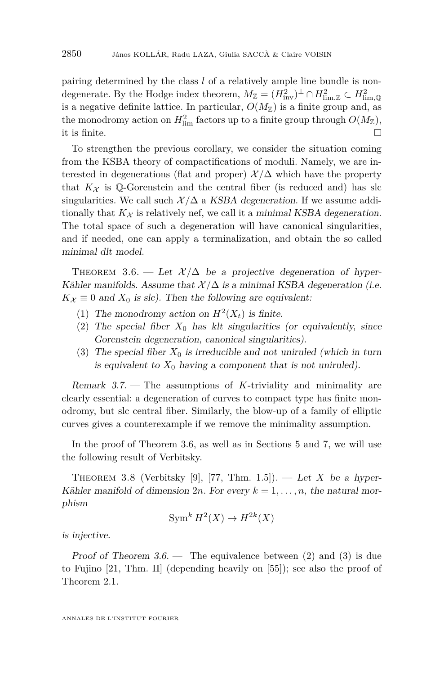pairing determined by the class *l* of a relatively ample line bundle is nondegenerate. By the Hodge index theorem,  $M_{\mathbb{Z}} = (H_{\text{inv}}^2)^{\perp} \cap H_{\text{lim},\mathbb{Z}}^2 \subset H_{\text{lim},\mathbb{Q}}^2$ is a negative definite lattice. In particular,  $O(M_{\mathbb{Z}})$  is a finite group and, as the monodromy action on  $H_{\text{lim}}^2$  factors up to a finite group through  $O(M_{\mathbb{Z}})$ , it is finite.  $\Box$ 

To strengthen the previous corollary, we consider the situation coming from the KSBA theory of compactifications of moduli. Namely, we are interested in degenerations (flat and proper)  $\mathcal{X}/\Delta$  which have the property that  $K_{\mathcal{X}}$  is Q-Gorenstein and the central fiber (is reduced and) has slc singularities. We call such  $\mathcal{X}/\Delta$  a KSBA degeneration. If we assume additionally that  $K_{\mathcal{X}}$  is relatively nef, we call it a minimal KSBA degeneration. The total space of such a degeneration will have canonical singularities, and if needed, one can apply a terminalization, and obtain the so called minimal dlt model.

<span id="page-14-0"></span>THEOREM 3.6. — Let  $\mathcal{X}/\Delta$  be a projective degeneration of hyper-Kähler manifolds. Assume that  $\mathcal{X}/\Delta$  is a minimal KSBA degeneration (i.e.  $K_{\mathcal{X}} \equiv 0$  and  $X_0$  is slc). Then the following are equivalent:

- <span id="page-14-3"></span>(1) The monodromy action on  $H^2(X_t)$  is finite.
- <span id="page-14-1"></span>(2) The special fiber  $X_0$  has klt singularities (or equivalently, since Gorenstein degeneration, canonical singularities).
- <span id="page-14-2"></span>(3) The special fiber  $X_0$  is irreducible and not uniruled (which in turn is equivalent to  $X_0$  having a component that is not uniruled).

<span id="page-14-5"></span>Remark 3.7. — The assumptions of *K*-triviality and minimality are clearly essential: a degeneration of curves to compact type has finite monodromy, but slc central fiber. Similarly, the blow-up of a family of elliptic curves gives a counterexample if we remove the minimality assumption.

In the proof of Theorem [3.6,](#page-14-0) as well as in Sections [5](#page-19-0) and [7,](#page-28-0) we will use the following result of Verbitsky.

<span id="page-14-4"></span>THEOREM 3.8 (Verbitsky [\[9\]](#page-43-9), [\[77,](#page-46-7) Thm. 1.5]). — Let *X* be a hyper-Kähler manifold of dimension  $2n$ . For every  $k = 1, \ldots, n$ , the natural morphism

$$
\operatorname{Sym}^k H^2(X) \to H^{2k}(X)
$$

is injective.

Proof of Theorem  $3.6$  — The equivalence between [\(2\)](#page-14-1) and [\(3\)](#page-14-2) is due to Fujino [\[21,](#page-43-2) Thm. II] (depending heavily on [\[55\]](#page-45-11)); see also the proof of Theorem [2.1.](#page-8-1)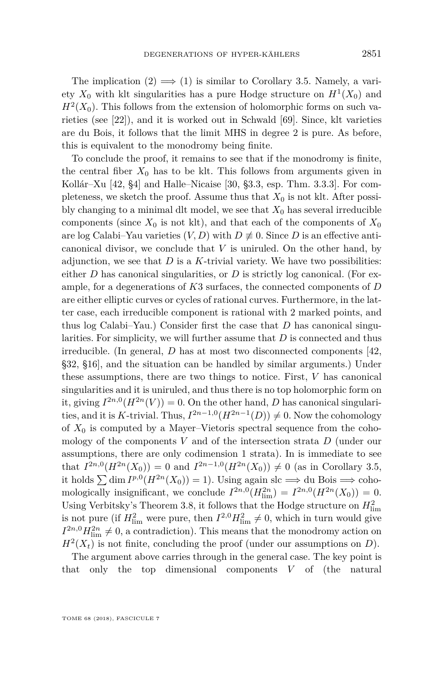The implication  $(2) \implies (1)$  $(2) \implies (1)$  $(2) \implies (1)$  is similar to Corollary [3.5.](#page-13-2) Namely, a variety  $X_0$  with klt singularities has a pure Hodge structure on  $H^1(X_0)$  and  $H<sup>2</sup>(X<sub>0</sub>)$ . This follows from the extension of holomorphic forms on such varieties (see [\[22\]](#page-43-10)), and it is worked out in Schwald [\[69\]](#page-46-9). Since, klt varieties are du Bois, it follows that the limit MHS in degree 2 is pure. As before, this is equivalent to the monodromy being finite.

To conclude the proof, it remains to see that if the monodromy is finite, the central fiber  $X_0$  has to be klt. This follows from arguments given in Kollár–Xu [\[42,](#page-44-5) §4] and Halle–Nicaise [\[30,](#page-44-11) §3.3, esp. Thm. 3.3.3]. For completeness, we sketch the proof. Assume thus that  $X_0$  is not klt. After possibly changing to a minimal dlt model, we see that  $X_0$  has several irreducible components (since  $X_0$  is not klt), and that each of the components of  $X_0$ are log Calabi–Yau varieties  $(V, D)$  with  $D \not\equiv 0$ . Since *D* is an effective anticanonical divisor, we conclude that *V* is uniruled. On the other hand, by adjunction, we see that  $D$  is a  $K$ -trivial variety. We have two possibilities: either  $D$  has canonical singularities, or  $D$  is strictly log canonical. (For example, for a degenerations of *K*3 surfaces, the connected components of *D* are either elliptic curves or cycles of rational curves. Furthermore, in the latter case, each irreducible component is rational with 2 marked points, and thus log Calabi–Yau.) Consider first the case that *D* has canonical singularities. For simplicity, we will further assume that *D* is connected and thus irreducible. (In general, *D* has at most two disconnected components [\[42,](#page-44-5) §32, §16], and the situation can be handled by similar arguments.) Under these assumptions, there are two things to notice. First, *V* has canonical singularities and it is uniruled, and thus there is no top holomorphic form on it, giving  $I^{2n,0}(H^{2n}(V)) = 0$ . On the other hand, *D* has canonical singularities, and it is *K*-trivial. Thus,  $I^{2n-1,0}(H^{2n-1}(D)) \neq 0$ . Now the cohomology of  $X_0$  is computed by a Mayer–Vietoris spectral sequence from the cohomology of the components *V* and of the intersection strata *D* (under our assumptions, there are only codimension 1 strata). In is immediate to see that  $I^{2n,0}(H^{2n}(X_0)) = 0$  and  $I^{2n-1,0}(H^{2n}(X_0)) \neq 0$  (as in Corollary [3.5,](#page-13-2) it holds  $\sum \dim I^{p,0}(H^{2n}(X_0)) = 1$ ). Using again slc ⇒ du Bois ⇒ cohomologically insignificant, we conclude  $I^{2n,0}(H_{\text{lim}}^{2n}) = I^{2n,0}(H^{2n}(X_0)) = 0.$ Using Verbitsky's Theorem [3.8,](#page-14-4) it follows that the Hodge structure on  $H_{\text{lim}}^2$ is not pure (if  $H_{\text{lim}}^2$  were pure, then  $I^{2,0}H_{\text{lim}}^2 \neq 0$ , which in turn would give  $I^{2n,0}H_{\text{lim}}^{2n} \neq 0$ , a contradiction). This means that the monodromy action on  $H<sup>2</sup>(X<sub>t</sub>)$  is not finite, concluding the proof (under our assumptions on *D*).

The argument above carries through in the general case. The key point is that only the top dimensional components *V* of (the natural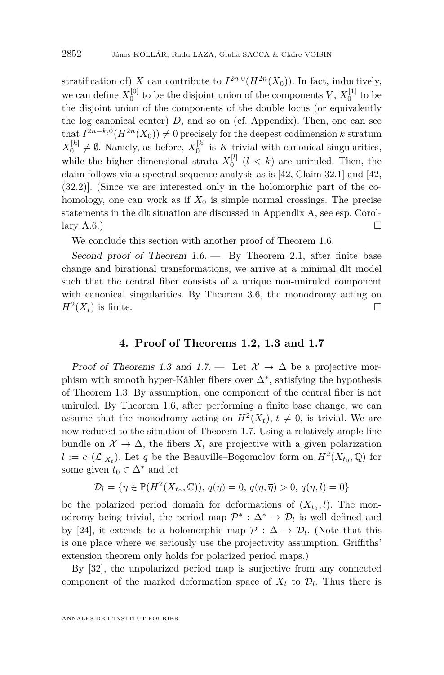stratification of) *X* can contribute to  $I^{2n,0}(H^{2n}(X_0))$ . In fact, inductively, we can define  $X_0^{[0]}$  to be the disjoint union of the components  $V, X_0^{[1]}$  to be the disjoint union of the components of the double locus (or equivalently the log canonical center) *D*, and so on (cf. Appendix). Then, one can see that  $I^{2n-k,0}(H^{2n}(X_0)) \neq 0$  precisely for the deepest codimension *k* stratum  $X_0^{[k]} \neq \emptyset$ . Namely, as before,  $X_0^{[k]}$  is K-trivial with canonical singularities, while the higher dimensional strata  $X_0^{[l]}$  ( $l < k$ ) are uniruled. Then, the claim follows via a spectral sequence analysis as is [\[42,](#page-44-5) Claim 32.1] and [\[42,](#page-44-5) (32.2)]. (Since we are interested only in the holomorphic part of the cohomology, one can work as if  $X_0$  is simple normal crossings. The precise statements in the dlt situation are discussed in Appendix [A,](#page-40-1) see esp. Corol-lary [A.6.](#page-42-0))

We conclude this section with another proof of Theorem [1.6.](#page-3-1)

Second proof of Theorem  $1.6$  – By Theorem [2.1,](#page-8-1) after finite base change and birational transformations, we arrive at a minimal dlt model such that the central fiber consists of a unique non-uniruled component with canonical singularities. By Theorem [3.6,](#page-14-0) the monodromy acting on  $H^2(X_t)$  is finite.

#### **4. Proof of Theorems [1.2,](#page-2-0) [1.3](#page-2-1) and [1.7](#page-3-0)**

<span id="page-16-0"></span>Proof of Theorems [1.3](#page-2-1) and [1.7.](#page-3-0) — Let  $\mathcal{X} \to \Delta$  be a projective morphism with smooth hyper-Kähler fibers over  $\Delta^*$ , satisfying the hypothesis of Theorem [1.3.](#page-2-1) By assumption, one component of the central fiber is not uniruled. By Theorem [1.6,](#page-3-1) after performing a finite base change, we can assume that the monodromy acting on  $H^2(X_t)$ ,  $t \neq 0$ , is trivial. We are now reduced to the situation of Theorem [1.7.](#page-3-0) Using a relatively ample line bundle on  $\mathcal{X} \to \Delta$ , the fibers  $X_t$  are projective with a given polarization  $l := c_1(\mathcal{L}_{|X_t})$ . Let *q* be the Beauville–Bogomolov form on  $H^2(X_{t_0}, \mathbb{Q})$  for some given  $t_0 \in \Delta^*$  and let

$$
\mathcal{D}_l = \{ \eta \in \mathbb{P}(H^2(X_{t_0}, \mathbb{C})), q(\eta) = 0, q(\eta, \overline{\eta}) > 0, q(\eta, l) = 0 \}
$$

be the polarized period domain for deformations of  $(X_{t_0}, l)$ . The monodromy being trivial, the period map  $\mathcal{P}^*$  :  $\Delta^* \to \mathcal{D}_l$  is well defined and by [\[24\]](#page-44-12), it extends to a holomorphic map  $\mathcal{P} : \Delta \to \mathcal{D}_l$ . (Note that this is one place where we seriously use the projectivity assumption. Griffiths' extension theorem only holds for polarized period maps.)

By [\[32\]](#page-44-0), the unpolarized period map is surjective from any connected component of the marked deformation space of  $X_t$  to  $\mathcal{D}_l$ . Thus there is

ANNALES DE L'INSTITUT FOURIER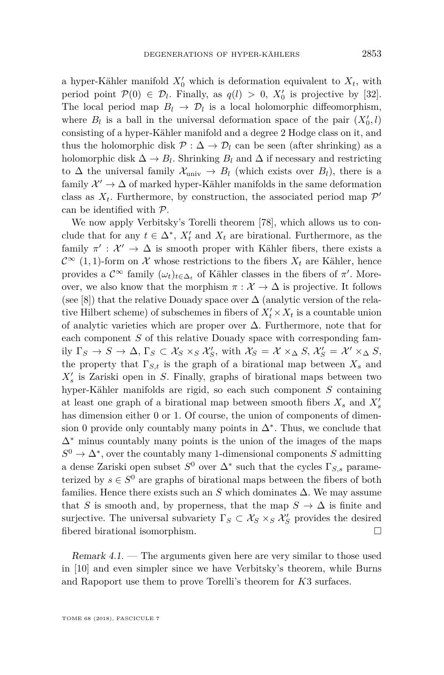a hyper-Kähler manifold  $X'_0$  which is deformation equivalent to  $X_t$ , with period point  $\mathcal{P}(0) \in \mathcal{D}_l$ . Finally, as  $q(l) > 0$ ,  $X'_0$  is projective by [\[32\]](#page-44-0). The local period map  $B_l \to \mathcal{D}_l$  is a local holomorphic diffeomorphism, where  $B_l$  is a ball in the universal deformation space of the pair  $(X'_0, l)$ consisting of a hyper-Kähler manifold and a degree 2 Hodge class on it, and thus the holomorphic disk  $\mathcal{P} : \Delta \to \mathcal{D}_l$  can be seen (after shrinking) as a holomorphic disk  $\Delta \to B_l$ . Shrinking  $B_l$  and  $\Delta$  if necessary and restricting to  $\Delta$  the universal family  $\mathcal{X}_{\text{univ}} \to B_l$  (which exists over  $B_l$ ), there is a family  $\mathcal{X}' \to \Delta$  of marked hyper-Kähler manifolds in the same deformation class as  $X_t$ . Furthermore, by construction, the associated period map  $\mathcal{P}'$ can be identified with P.

We now apply Verbitsky's Torelli theorem [\[78\]](#page-46-1), which allows us to conclude that for any  $t \in \Delta^*$ ,  $X'_t$  and  $X_t$  are birational. Furthermore, as the family  $\pi' : \mathcal{X}' \to \Delta$  is smooth proper with Kähler fibers, there exists a  $\mathcal{C}^{\infty}$  (1, 1)-form on  $\mathcal X$  whose restrictions to the fibers  $X_t$  are Kähler, hence provides a  $\mathcal{C}^{\infty}$  family  $(\omega_t)_{t \in \Delta_t}$  of Kähler classes in the fibers of  $\pi'$ . Moreover, we also know that the morphism  $\pi : \mathcal{X} \to \Delta$  is projective. It follows (see [\[8\]](#page-43-11)) that the relative Douady space over  $\Delta$  (analytic version of the relative Hilbert scheme) of subschemes in fibers of  $X_t' \times X_t$  is a countable union of analytic varieties which are proper over ∆. Furthermore, note that for each component *S* of this relative Douady space with corresponding family  $\Gamma_S \to S \to \Delta$ ,  $\Gamma_S \subset \mathcal{X}_S \times_S \mathcal{X}'_S$ , with  $\mathcal{X}_S = \mathcal{X} \times_{\Delta} S$ ,  $\mathcal{X}'_S = \mathcal{X}' \times_{\Delta} S$ , the property that  $\Gamma_{S,t}$  is the graph of a birational map between  $X_s$  and  $X'_{s}$  is Zariski open in *S*. Finally, graphs of birational maps between two hyper-Kähler manifolds are rigid, so each such component *S* containing at least one graph of a birational map between smooth fibers  $X_s$  and  $X'_s$ has dimension either 0 or 1. Of course, the union of components of dimension 0 provide only countably many points in  $\Delta^*$ . Thus, we conclude that  $\Delta^*$  minus countably many points is the union of the images of the maps  $S^0 \to \Delta^*$ , over the countably many 1-dimensional components *S* admitting a dense Zariski open subset  $S^0$  over  $\Delta^*$  such that the cycles  $\Gamma_{S,s}$  parameterized by  $s \in S^0$  are graphs of birational maps between the fibers of both families. Hence there exists such an  $S$  which dominates  $\Delta$ . We may assume that *S* is smooth and, by properness, that the map  $S \to \Delta$  is finite and surjective. The universal subvariety  $\Gamma_S \subset \mathcal{X}_S \times_S \mathcal{X}'_S$  provides the desired fibered birational isomorphism.

Remark 4.1. — The arguments given here are very similar to those used in [\[10\]](#page-43-12) and even simpler since we have Verbitsky's theorem, while Burns and Rapoport use them to prove Torelli's theorem for *K*3 surfaces.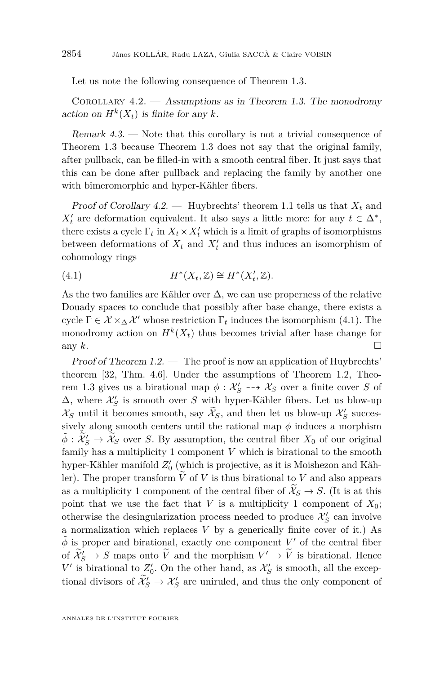Let us note the following consequence of Theorem [1.3.](#page-2-1)

<span id="page-18-0"></span>COROLLARY  $4.2.$  — Assumptions as in Theorem [1.3.](#page-2-1) The monodromy action on  $H^k(X_t)$  is finite for any *k*.

Remark 4.3. — Note that this corollary is not a trivial consequence of Theorem [1.3](#page-2-1) because Theorem [1.3](#page-2-1) does not say that the original family, after pullback, can be filled-in with a smooth central fiber. It just says that this can be done after pullback and replacing the family by another one with bimeromorphic and hyper-Kähler fibers.

Proof of Corollary  $4.2$ . — Huybrechts' theorem [1.1](#page-2-2) tells us that  $X_t$  and  $X_t'$  are deformation equivalent. It also says a little more: for any  $t \in \Delta^*$ , there exists a cycle  $\Gamma_t$  in  $X_t \times X_t'$  which is a limit of graphs of isomorphisms between deformations of  $X_t$  and  $X'_t$  and thus induces an isomorphism of cohomology rings

<span id="page-18-1"></span>(4.1) 
$$
H^*(X_t, \mathbb{Z}) \cong H^*(X'_t, \mathbb{Z}).
$$

As the two families are Kähler over  $\Delta$ , we can use properness of the relative Douady spaces to conclude that possibly after base change, there exists a cycle  $\Gamma \in \mathcal{X} \times_{\Delta} \mathcal{X}'$  whose restriction  $\Gamma_t$  induces the isomorphism [\(4.1\)](#page-18-1). The monodromy action on  $H^k(X_t)$  thus becomes trivial after base change for any  $k$ .

Proof of Theorem [1.2.](#page-2-0) — The proof is now an application of Huybrechts' theorem [\[32,](#page-44-0) Thm. 4.6]. Under the assumptions of Theorem [1.2,](#page-2-0) Theo-rem [1.3](#page-2-1) gives us a birational map  $\phi : \mathcal{X}'_S \dashrightarrow \mathcal{X}_S$  over a finite cover *S* of  $\Delta$ , where  $\mathcal{X}'_S$  is smooth over *S* with hyper-Kähler fibers. Let us blow-up  $\mathcal{X}_S$  until it becomes smooth, say  $\widetilde{\mathcal{X}}_S$ , and then let us blow-up  $\mathcal{X}'_S$  successively along smooth centers until the rational map  $\phi$  induces a morphism  $\tilde{\phi}$  :  $\tilde{\mathcal{X}}'_{S} \rightarrow \tilde{\mathcal{X}}_{S}$  over *S*. By assumption, the central fiber  $X_0$  of our original family has a multiplicity 1 component *V* which is birational to the smooth hyper-Kähler manifold  $Z'_{0}$  (which is projective, as it is Moishezon and Kähler). The proper transform  $\tilde{V}$  of *V* is thus birational to *V* and also appears as a multiplicity 1 component of the central fiber of  $\mathcal{X}_S \to S$ . (It is at this point that we use the fact that  $V$  is a multiplicity 1 component of  $X_0$ ; otherwise the desingularization process needed to produce  $\mathcal{X}'_S$  can involve a normalization which replaces *V* by a generically finite cover of it.) As  $\tilde{\phi}$  is proper and birational, exactly one component *V*' of the central fiber of  $\widetilde{\mathcal{X}}'_{S} \to S$  maps onto  $\widetilde{V}$  and the morphism  $V' \to \widetilde{V}$  is birational. Hence  $V'$  is birational to  $Z'_{0}$ . On the other hand, as  $\mathcal{X}'_{S}$  is smooth, all the exceptional divisors of  $\widetilde{\mathcal{X}}'_{S} \to \mathcal{X}'_{S}$  are uniruled, and thus the only component of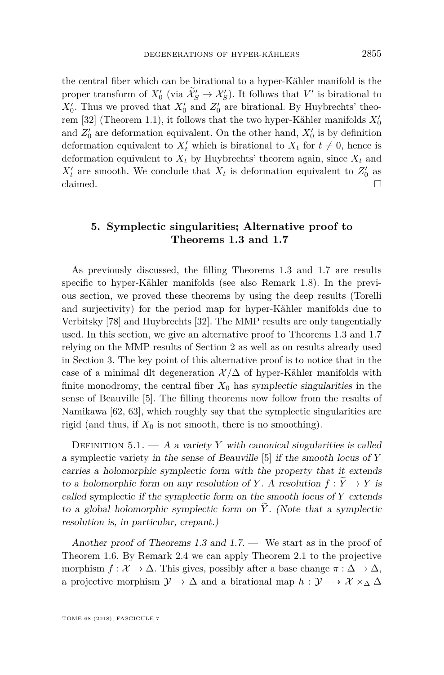the central fiber which can be birational to a hyper-Kähler manifold is the proper transform of  $X_0'$  (via  $\mathcal{X}_S' \to \mathcal{X}_S'$ ). It follows that  $V'$  is birational to  $X'_{0}$ . Thus we proved that  $X'_{0}$  and  $Z'_{0}$  are birational. By Huybrechts' theo-rem [\[32\]](#page-44-0) (Theorem [1.1\)](#page-2-2), it follows that the two hyper-Kähler manifolds  $X'_0$ and  $Z'_0$  are deformation equivalent. On the other hand,  $X'_0$  is by definition deformation equivalent to  $X'_t$  which is birational to  $X_t$  for  $t \neq 0$ , hence is deformation equivalent to  $X_t$  by Huybrechts' theorem again, since  $X_t$  and  $X'_t$  are smooth. We conclude that  $X_t$  is deformation equivalent to  $Z'_0$  as claimed.  $\Box$ 

#### <span id="page-19-0"></span>**5. Symplectic singularities; Alternative proof to Theorems [1.3](#page-2-1) and [1.7](#page-3-0)**

As previously discussed, the filling Theorems [1.3](#page-2-1) and [1.7](#page-3-0) are results specific to hyper-Kähler manifolds (see also Remark [1.8\)](#page-3-2). In the previous section, we proved these theorems by using the deep results (Torelli and surjectivity) for the period map for hyper-Kähler manifolds due to Verbitsky [\[78\]](#page-46-1) and Huybrechts [\[32\]](#page-44-0). The MMP results are only tangentially used. In this section, we give an alternative proof to Theorems [1.3](#page-2-1) and [1.7](#page-3-0) relying on the MMP results of Section [2](#page-8-0) as well as on results already used in Section [3.](#page-11-0) The key point of this alternative proof is to notice that in the case of a minimal dlt degeneration  $\mathcal{X}/\Delta$  of hyper-Kähler manifolds with finite monodromy, the central fiber  $X_0$  has symplectic singularities in the sense of Beauville [\[5\]](#page-43-4). The filling theorems now follow from the results of Namikawa [\[62,](#page-45-3) [63\]](#page-45-4), which roughly say that the symplectic singularities are rigid (and thus, if  $X_0$  is not smooth, there is no smoothing).

DEFINITION  $5.1. - A$  a variety *Y* with canonical singularities is called a symplectic variety in the sense of Beauville [\[5\]](#page-43-4) if the smooth locus of *Y* carries a holomorphic symplectic form with the property that it extends to a holomorphic form on any resolution of *Y*. A resolution  $f: Y \to Y$  is called symplectic if the symplectic form on the smooth locus of *Y* extends to a global holomorphic symplectic form on  $\tilde{Y}$ . (Note that a symplectic resolution is, in particular, crepant.)

Another proof of Theorems [1.3](#page-2-1) and [1.7.](#page-3-0) — We start as in the proof of Theorem [1.6.](#page-3-1) By Remark [2.4](#page-10-1) we can apply Theorem [2.1](#page-8-1) to the projective morphism  $f: \mathcal{X} \to \Delta$ . This gives, possibly after a base change  $\pi: \Delta \to \Delta$ , a projective morphism  $\mathcal{Y} \to \Delta$  and a birational map  $h : \mathcal{Y} \dashrightarrow \mathcal{X} \times_{\Delta} \Delta$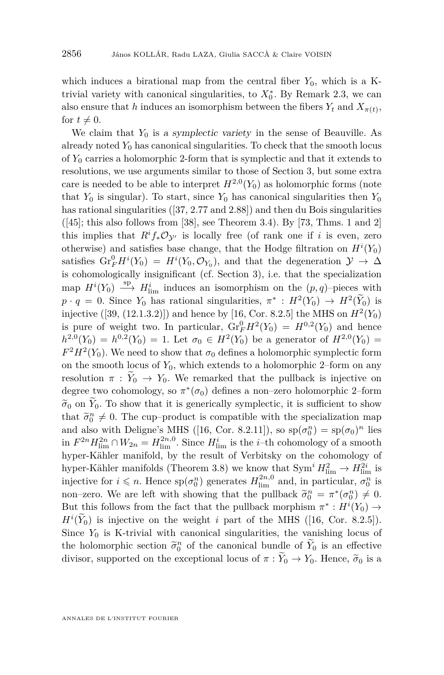which induces a birational map from the central fiber  $Y_0$ , which is a Ktrivial variety with canonical singularities, to  $X_0^*$ . By Remark [2.3,](#page-10-0) we can also ensure that *h* induces an isomorphism between the fibers  $Y_t$  and  $X_{\pi(t)}$ , for  $t \neq 0$ .

We claim that  $Y_0$  is a symplectic variety in the sense of Beauville. As already noted  $Y_0$  has canonical singularities. To check that the smooth locus of *Y*<sup>0</sup> carries a holomorphic 2-form that is symplectic and that it extends to resolutions, we use arguments similar to those of Section [3,](#page-11-0) but some extra care is needed to be able to interpret  $H^{2,0}(Y_0)$  as holomorphic forms (note that  $Y_0$  is singular). To start, since  $Y_0$  has canonical singularities then  $Y_0$ has rational singularities ([\[37,](#page-44-7) 2.77 and 2.88]) and then du Bois singularities  $([45]$  $([45]$ ; this also follows from [\[38\]](#page-44-2), see Theorem [3.4\)](#page-13-0). By [\[73,](#page-46-4) Thms. 1 and 2] this implies that  $R^if_*\mathcal{O}_{\mathcal{V}'}$  is locally free (of rank one if *i* is even, zero otherwise) and satisfies base change, that the Hodge filtration on  $H^i(Y_0)$ satisfies  $\mathrm{Gr}_{F}^{0}H^{i}(Y_{0}) = H^{i}(Y_{0}, \mathcal{O}_{Y_{0}})$ , and that the degeneration  $\mathcal{Y} \to \Delta$ is cohomologically insignificant (cf. Section [3\)](#page-11-0), i.e. that the specialization map  $H^i(Y_0) \longrightarrow H^i_{\text{lim}}$  induces an isomorphism on the  $(p, q)$ -pieces with  $p \cdot q = 0$ . Since  $Y_0$  has rational singularities,  $\pi^* : H^2(Y_0) \to H^2(Y_0)$  is injective  $([39, (12.1.3.2)])$  $([39, (12.1.3.2)])$  $([39, (12.1.3.2)])$  and hence by [\[16,](#page-43-13) Cor. 8.2.5] the MHS on  $H^2(Y_0)$ is pure of weight two. In particular,  $\mathrm{Gr}_F^0 H^2(Y_0) = H^{0,2}(Y_0)$  and hence  $h^{2,0}(Y_0) = h^{0,2}(Y_0) = 1$ . Let  $\sigma_0 \in H^2(Y_0)$  be a generator of  $H^{2,0}(Y_0) =$  $F^2 H^2(Y_0)$ . We need to show that  $\sigma_0$  defines a holomorphic symplectic form on the smooth locus of  $Y_0$ , which extends to a holomorphic 2–form on any resolution  $\pi : Y_0 \to Y_0$ . We remarked that the pullback is injective on degree two cohomology, so  $\pi^*(\sigma_0)$  defines a non–zero holomorphic 2–form  $\tilde{\sigma}_0$  on  $\tilde{Y}_0$ . To show that it is generically symplectic, it is sufficient to show that  $\tilde{\sigma}_0^n \neq 0$ . The cup–product is compatible with the specialization map<br>and also with Deligna's MHS (16, Cap, 8.9.11)) so  $\pi(\sigma^n) = \pi(\sigma)^n$  lies and also with Deligne's MHS ([\[16,](#page-43-13) Cor. 8.2.11]), so  $sp(\sigma_0^n) = sp(\sigma_0)^n$  lies in  $F^{2n}H_{\text{lim}}^{2n} \cap W_{2n} = H_{\text{lim}}^{2n,0}$ . Since  $H_{\text{lim}}^i$  is the *i*–th cohomology of a smooth hyper-Kähler manifold, by the result of Verbitsky on the cohomology of hyper-Kähler manifolds (Theorem [3.8\)](#page-14-4) we know that  $\text{Sym}^i H_{\text{lim}}^2 \to H_{\text{lim}}^{2i}$  is injective for  $i \leq n$ . Hence  $sp(\sigma_0^n)$  generates  $H_{\text{lim}}^{2n,0}$  and, in particular,  $\sigma_0^n$  is non–zero. We are left with showing that the pullback  $\tilde{\sigma}_0^n = \pi^*(\sigma_0^n) \neq 0$ .<br>But this follows from the fact that the pullback membiang  $\pi^*: H^i(V)$ . But this follows from the fact that the pullback morphism  $\pi^*: H^i(Y_0) \to$  $H^i(Y_0)$  is injective on the weight *i* part of the MHS ([\[16,](#page-43-13) Cor. 8.2.5]). Since  $Y_0$  is K-trivial with canonical singularities, the vanishing locus of the holomorphic section  $\tilde{\sigma}_0^n$  of the canonical bundle of  $\tilde{Y}_0$  is an effective<br>divisor supported on the symptomal layer of  $\pi : \tilde{Y} \to Y$ . Hence  $\tilde{\pi}$  is a divisor, supported on the exceptional locus of  $\pi : Y_0 \to Y_0$ . Hence,  $\tilde{\sigma}_0$  is a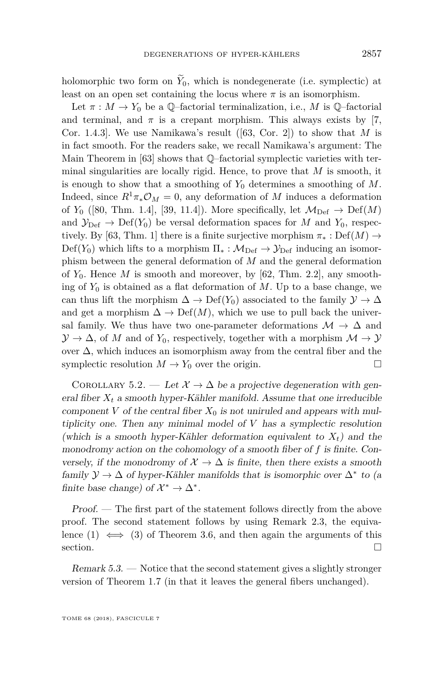holomorphic two form on  $\widetilde{Y}_0$ , which is nondegenerate (i.e. symplectic) at least on an open set containing the locus where  $\pi$  is an isomorphism.

Let  $\pi : M \to Y_0$  be a Q-factorial terminalization, i.e., M is Q-factorial and terminal, and  $\pi$  is a crepant morphism. This always exists by [\[7,](#page-43-3) Cor. 1.4.3]. We use Namikawa's result ([\[63,](#page-45-4) Cor. 2]) to show that *M* is in fact smooth. For the readers sake, we recall Namikawa's argument: The Main Theorem in [\[63\]](#page-45-4) shows that Q–factorial symplectic varieties with terminal singularities are locally rigid. Hence, to prove that *M* is smooth, it is enough to show that a smoothing of  $Y_0$  determines a smoothing of  $M$ . Indeed, since  $R^1 \pi_* \mathcal{O}_M = 0$ , any deformation of *M* induces a deformation of  $Y_0$  ([\[80,](#page-46-10) Thm. 1.4], [\[39,](#page-44-3) 11.4]). More specifically, let  $\mathcal{M}_{\text{Def}} \to \text{Def}(M)$ and  $\mathcal{Y}_{\text{Def}} \to \text{Def}(Y_0)$  be versal deformation spaces for *M* and  $Y_0$ , respec-tively. By [\[63,](#page-45-4) Thm. 1] there is a finite surjective morphism  $\pi_* : \mathrm{Def}(M) \to$  $Def(Y_0)$  which lifts to a morphism  $\Pi_* : \mathcal{M}_{Def} \to \mathcal{Y}_{Def}$  inducing an isomorphism between the general deformation of *M* and the general deformation of  $Y_0$ . Hence  $M$  is smooth and moreover, by [\[62,](#page-45-3) Thm. 2.2], any smoothing of  $Y_0$  is obtained as a flat deformation of  $M$ . Up to a base change, we can thus lift the morphism  $\Delta \to \mathrm{Def}(Y_0)$  associated to the family  $\mathcal{Y} \to \Delta$ and get a morphism  $\Delta \to \mathrm{Def}(M)$ , which we use to pull back the universal family. We thus have two one-parameter deformations  $\mathcal{M} \to \Delta$  and  $\mathcal{Y} \to \Delta$ , of *M* and of  $Y_0$ , respectively, together with a morphism  $\mathcal{M} \to \mathcal{Y}$ over ∆, which induces an isomorphism away from the central fiber and the symplectic resolution  $M \to Y_0$  over the origin.

COROLLARY 5.2. — Let  $\mathcal{X} \to \Delta$  be a projective degeneration with general fiber  $X_t$  a smooth hyper-Kähler manifold. Assume that one irreducible component *V* of the central fiber  $X_0$  is not uniruled and appears with multiplicity one. Then any minimal model of *V* has a symplectic resolution (which is a smooth hyper-Kähler deformation equivalent to  $X_t$ ) and the monodromy action on the cohomology of a smooth fiber of *f* is finite. Conversely, if the monodromy of  $\mathcal{X} \to \Delta$  is finite, then there exists a smooth family  $\mathcal{Y} \to \Delta$  of hyper-Kähler manifolds that is isomorphic over  $\Delta^*$  to (a finite base change) of  $\mathcal{X}^* \to \Delta^*$ .

Proof. — The first part of the statement follows directly from the above proof. The second statement follows by using Remark [2.3,](#page-10-0) the equivalence  $(1) \iff (3)$  $(1) \iff (3)$  $(1) \iff (3)$  of Theorem [3.6,](#page-14-0) and then again the arguments of this section.  $\Box$ 

Remark 5.3. — Notice that the second statement gives a slightly stronger version of Theorem [1.7](#page-3-0) (in that it leaves the general fibers unchanged).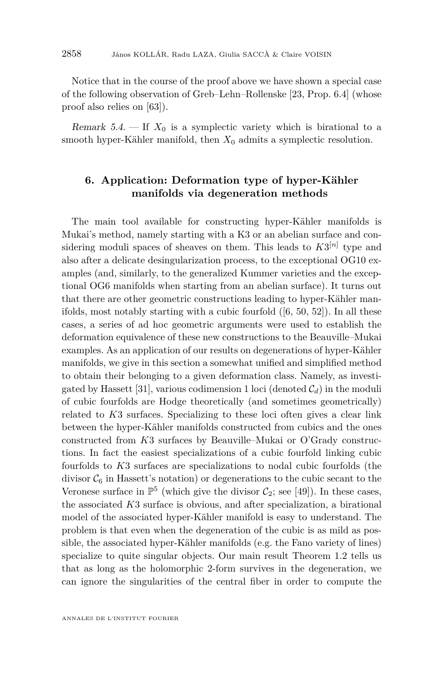Notice that in the course of the proof above we have shown a special case of the following observation of Greb–Lehn–Rollenske [\[23,](#page-44-13) Prop. 6.4] (whose proof also relies on [\[63\]](#page-45-4)).

Remark  $5.4.$  — If  $X_0$  is a symplectic variety which is birational to a smooth hyper-Kähler manifold, then  $X_0$  admits a symplectic resolution.

#### <span id="page-22-0"></span>**6. Application: Deformation type of hyper-Kähler manifolds via degeneration methods**

The main tool available for constructing hyper-Kähler manifolds is Mukai's method, namely starting with a K3 or an abelian surface and considering moduli spaces of sheaves on them. This leads to  $K3^{[n]}$  type and also after a delicate desingularization process, to the exceptional OG10 examples (and, similarly, to the generalized Kummer varieties and the exceptional OG6 manifolds when starting from an abelian surface). It turns out that there are other geometric constructions leading to hyper-Kähler manifolds, most notably starting with a cubic fourfold ([\[6,](#page-43-5) [50,](#page-45-0) [52\]](#page-45-13)). In all these cases, a series of ad hoc geometric arguments were used to establish the deformation equivalence of these new constructions to the Beauville–Mukai examples. As an application of our results on degenerations of hyper-Kähler manifolds, we give in this section a somewhat unified and simplified method to obtain their belonging to a given deformation class. Namely, as investi-gated by Hassett [\[31\]](#page-44-14), various codimension 1 loci (denoted  $C_d$ ) in the moduli of cubic fourfolds are Hodge theoretically (and sometimes geometrically) related to *K*3 surfaces. Specializing to these loci often gives a clear link between the hyper-Kähler manifolds constructed from cubics and the ones constructed from *K*3 surfaces by Beauville–Mukai or O'Grady constructions. In fact the easiest specializations of a cubic fourfold linking cubic fourfolds to *K*3 surfaces are specializations to nodal cubic fourfolds (the divisor  $\mathcal{C}_6$  in Hassett's notation) or degenerations to the cubic secant to the Veronese surface in  $\mathbb{P}^5$  (which give the divisor  $\mathcal{C}_2$ ; see [\[49\]](#page-45-14)). In these cases, the associated *K*3 surface is obvious, and after specialization, a birational model of the associated hyper-Kähler manifold is easy to understand. The problem is that even when the degeneration of the cubic is as mild as possible, the associated hyper-Kähler manifolds (e.g. the Fano variety of lines) specialize to quite singular objects. Our main result Theorem [1.2](#page-2-0) tells us that as long as the holomorphic 2-form survives in the degeneration, we can ignore the singularities of the central fiber in order to compute the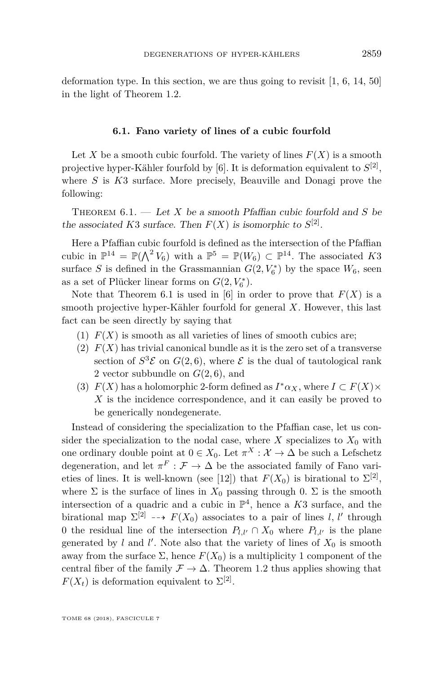deformation type. In this section, we are thus going to revisit  $[1, 6, 14, 50]$  $[1, 6, 14, 50]$  $[1, 6, 14, 50]$  $[1, 6, 14, 50]$  $[1, 6, 14, 50]$  $[1, 6, 14, 50]$  $[1, 6, 14, 50]$ in the light of Theorem [1.2.](#page-2-0)

#### **6.1. Fano variety of lines of a cubic fourfold**

<span id="page-23-1"></span>Let *X* be a smooth cubic fourfold. The variety of lines  $F(X)$  is a smooth projective hyper-Kähler fourfold by  $[6]$ . It is deformation equivalent to  $S^{[2]}$ , where *S* is *K*3 surface. More precisely, Beauville and Donagi prove the following:

<span id="page-23-0"></span>Theorem 6.1. — Let *X* be a smooth Pfaffian cubic fourfold and *S* be the associated *K*3 surface. Then  $F(X)$  is isomorphic to  $S^{[2]}$ .

Here a Pfaffian cubic fourfold is defined as the intersection of the Pfaffian cubic in  $\mathbb{P}^{14} = \mathbb{P}(\bigwedge^2 V_6)$  with a  $\mathbb{P}^5 = \mathbb{P}(W_6) \subset \mathbb{P}^{14}$ . The associated K3 surface *S* is defined in the Grassmannian  $G(2, V_6^*)$  by the space  $W_6$ , seen as a set of Plücker linear forms on  $G(2, V_6^*)$ .

Note that Theorem [6.1](#page-23-0) is used in [\[6\]](#page-43-5) in order to prove that  $F(X)$  is a smooth projective hyper-Kähler fourfold for general *X*. However, this last fact can be seen directly by saying that

- (1)  $F(X)$  is smooth as all varieties of lines of smooth cubics are;
- (2)  $F(X)$  has trivial canonical bundle as it is the zero set of a transverse section of  $S^3$ **E** on  $G(2, 6)$ , where **E** is the dual of tautological rank 2 vector subbundle on  $G(2,6)$ , and
- (3)  $F(X)$  has a holomorphic 2-form defined as  $I^*\alpha_X$ , where  $I \subset F(X) \times$ *X* is the incidence correspondence, and it can easily be proved to be generically nondegenerate.

Instead of considering the specialization to the Pfaffian case, let us consider the specialization to the nodal case, where  $X$  specializes to  $X_0$  with one ordinary double point at  $0 \in X_0$ . Let  $\pi^X : \mathcal{X} \to \Delta$  be such a Lefschetz degeneration, and let  $\pi^F : \mathcal{F} \to \Delta$  be the associated family of Fano vari-eties of lines. It is well-known (see [\[12\]](#page-43-15)) that  $F(X_0)$  is birational to  $\Sigma^{[2]}$ , where  $\Sigma$  is the surface of lines in  $X_0$  passing through 0.  $\Sigma$  is the smooth intersection of a quadric and a cubic in  $\mathbb{P}^4$ , hence a *K*3 surface, and the birational map  $\Sigma^{[2]} \dashrightarrow F(X_0)$  associates to a pair of lines *l, l'* through 0 the residual line of the intersection  $P_{l,l'} \cap X_0$  where  $P_{l,l'}$  is the plane generated by  $l$  and  $l'$ . Note also that the variety of lines of  $X_0$  is smooth away from the surface  $\Sigma$ , hence  $F(X_0)$  is a multiplicity 1 component of the central fiber of the family  $\mathcal{F} \to \Delta$ . Theorem [1.2](#page-2-0) thus applies showing that  $F(X_t)$  is deformation equivalent to  $\Sigma^{[2]}$ .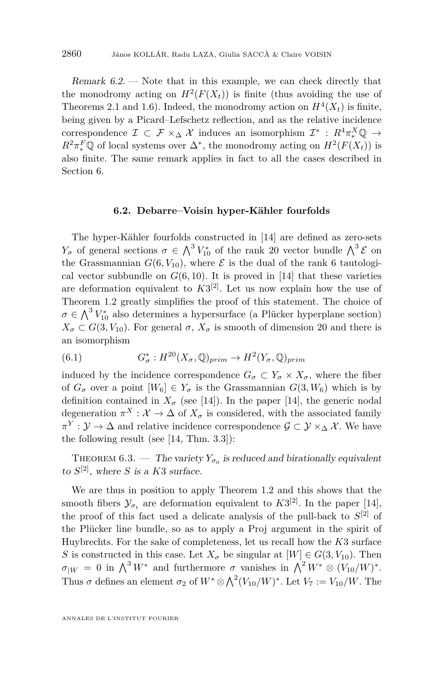Remark 6.2. — Note that in this example, we can check directly that the monodromy acting on  $H^2(F(X_t))$  is finite (thus avoiding the use of Theorems [2.1](#page-8-1) and [1.6\)](#page-3-1). Indeed, the monodromy action on  $H^4(X_t)$  is finite, being given by a Picard–Lefschetz reflection, and as the relative incidence correspondence  $\mathcal{I} \subset \mathcal{F} \times_{\Delta} \mathcal{X}$  induces an isomorphism  $\mathcal{I}^* \,:\, R^4 \pi_*^X \mathbb{Q} \to$  $R^2 \pi_*^F \mathbb{Q}$  of local systems over  $\Delta^*$ , the monodromy acting on  $H^2(F(X_t))$  is also finite. The same remark applies in fact to all the cases described in Section [6.](#page-22-0)

#### **6.2. Debarre–Voisin hyper-Kähler fourfolds**

The hyper-Kähler fourfolds constructed in [\[14\]](#page-43-0) are defined as zero-sets *Y<sub>σ</sub>* of general sections  $\sigma \in \Lambda^3 V_{10}^*$  of the rank 20 vector bundle  $\Lambda^3$  ε on the Grassmannian  $G(6, V_{10})$ , where  $\mathcal E$  is the dual of the rank 6 tautological vector subbundle on  $G(6, 10)$ . It is proved in [\[14\]](#page-43-0) that these varieties are deformation equivalent to  $K3^{[2]}$ . Let us now explain how the use of Theorem [1.2](#page-2-0) greatly simplifies the proof of this statement. The choice of  $\sigma \in \bigwedge^3 V_{10}^*$  also determines a hypersurface (a Plücker hyperplane section)  $X_{\sigma} \subset G(3, V_{10})$ . For general  $\sigma$ ,  $X_{\sigma}$  is smooth of dimension 20 and there is an isomorphism

(6.1) 
$$
G_{\sigma}^* : H^{20}(X_{\sigma}, \mathbb{Q})_{prim} \to H^2(Y_{\sigma}, \mathbb{Q})_{prim}
$$

induced by the incidence correspondence  $G_{\sigma} \subset Y_{\sigma} \times X_{\sigma}$ , where the fiber of  $G_{\sigma}$  over a point  $[W_6] \in Y_{\sigma}$  is the Grassmannian  $G(3, W_6)$  which is by definition contained in  $X_{\sigma}$  (see [\[14\]](#page-43-0)). In the paper [14], the generic nodal degeneration  $\pi^X : \mathcal{X} \to \Delta$  of  $X_{\sigma}$  is considered, with the associated family  $\pi^Y : \mathcal{Y} \to \Delta$  and relative incidence correspondence  $\mathcal{G} \subset \mathcal{Y} \times_{\Delta} \mathcal{X}$ . We have the following result (see [\[14,](#page-43-0) Thm. 3.3]):

THEOREM 6.3. — The variety  $Y_{\sigma_0}$  is reduced and birationally equivalent to  $S^{[2]}$ , where *S* is a *K*3 surface.

We are thus in position to apply Theorem [1.2](#page-2-0) and this shows that the smooth fibers  $\mathcal{Y}_{\sigma_t}$  are deformation equivalent to  $K3^{[2]}$ . In the paper [\[14\]](#page-43-0), the proof of this fact used a delicate analysis of the pull-back to *S* [2] of the Plücker line bundle, so as to apply a Proj argument in the spirit of Huybrechts. For the sake of completeness, let us recall how the *K*3 surface *S* is constructed in this case. Let  $X_{\sigma}$  be singular at  $[W] \in G(3, V_{10})$ . Then  $\sigma_{|W} = 0$  in  $\bigwedge^3 W^*$  and furthermore  $\sigma$  vanishes in  $\bigwedge^2 W^* \otimes (V_{10}/W)^*$ . Thus  $\sigma$  defines an element  $\sigma_2$  of  $W^* \otimes \bigwedge^2 (V_{10}/W)^*$ . Let  $V_7 := V_{10}/W$ . The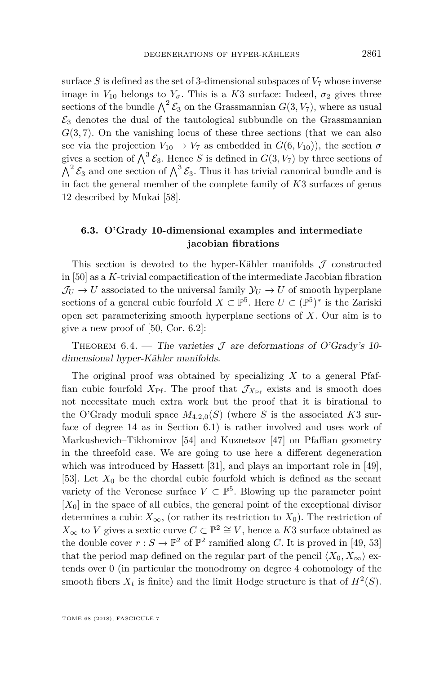surface *S* is defined as the set of 3-dimensional subspaces of  $V_7$  whose inverse image in  $V_{10}$  belongs to  $Y_{\sigma}$ . This is a *K*3 surface: Indeed,  $\sigma_2$  gives three sections of the bundle  $\bigwedge^2 \mathcal{E}_3$  on the Grassmannian  $G(3, V_7)$ , where as usual  $\mathcal{E}_3$  denotes the dual of the tautological subbundle on the Grassmannian *G*(3*,* 7). On the vanishing locus of these three sections (that we can also see via the projection  $V_{10} \rightarrow V_7$  as embedded in  $G(6, V_{10})$ , the section  $\sigma$ gives a section of  $\bigwedge^3 \mathcal{E}_3$ . Hence *S* is defined in  $G(3, V_7)$  by three sections of  $\bigwedge^2 \mathcal{E}_3$  and one section of  $\bigwedge^3 \mathcal{E}_3$ . Thus it has trivial canonical bundle and is in fact the general member of the complete family of *K*3 surfaces of genus 12 described by Mukai [\[58\]](#page-45-15).

#### <span id="page-25-0"></span>**6.3. O'Grady 10-dimensional examples and intermediate jacobian fibrations**

This section is devoted to the hyper-Kähler manifolds  $\mathcal J$  constructed in [\[50\]](#page-45-0) as a *K*-trivial compactification of the intermediate Jacobian fibration  $J_U \rightarrow U$  associated to the universal family  $\mathcal{Y}_U \rightarrow U$  of smooth hyperplane sections of a general cubic fourfold  $X \subset \mathbb{P}^5$ . Here  $U \subset (\mathbb{P}^5)^*$  is the Zariski open set parameterizing smooth hyperplane sections of *X*. Our aim is to give a new proof of [\[50,](#page-45-0) Cor. 6.2]:

<span id="page-25-1"></span>THEOREM 6.4. — The varieties  $\mathcal J$  are deformations of O'Grady's 10dimensional hyper-Kähler manifolds.

The original proof was obtained by specializing *X* to a general Pfaffian cubic fourfold  $X_{\text{Pf}}$ . The proof that  $\mathcal{J}_{X_{\text{Pf}}}$  exists and is smooth does not necessitate much extra work but the proof that it is birational to the O'Grady moduli space  $M_{4,2,0}(S)$  (where *S* is the associated *K*3 surface of degree 14 as in Section [6.1\)](#page-23-1) is rather involved and uses work of Markushevich–Tikhomirov [\[54\]](#page-45-16) and Kuznetsov [\[47\]](#page-45-17) on Pfaffian geometry in the threefold case. We are going to use here a different degeneration which was introduced by Hassett [\[31\]](#page-44-14), and plays an important role in [\[49\]](#page-45-14), [\[53\]](#page-45-18). Let  $X_0$  be the chordal cubic fourfold which is defined as the secant variety of the Veronese surface  $V \subset \mathbb{P}^5$ . Blowing up the parameter point  $[X_0]$  in the space of all cubics, the general point of the exceptional divisor determines a cubic  $X_{\infty}$ , (or rather its restriction to  $X_0$ ). The restriction of  $X_{\infty}$  to *V* gives a sextic curve  $C \subset \mathbb{P}^2 \cong V$ , hence a *K*3 surface obtained as the double cover  $r : S \to \mathbb{P}^2$  of  $\mathbb{P}^2$  ramified along *C*. It is proved in [\[49,](#page-45-14) [53\]](#page-45-18) that the period map defined on the regular part of the pencil  $\langle X_0, X_\infty \rangle$  extends over 0 (in particular the monodromy on degree 4 cohomology of the smooth fibers  $X_t$  is finite) and the limit Hodge structure is that of  $H^2(S)$ .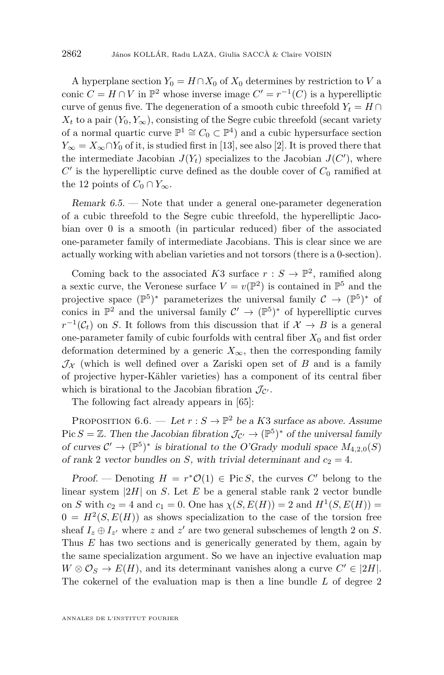A hyperplane section  $Y_0 = H \cap X_0$  of  $X_0$  determines by restriction to *V* a conic  $C = H \cap V$  in  $\mathbb{P}^2$  whose inverse image  $C' = r^{-1}(C)$  is a hyperelliptic curve of genus five. The degeneration of a smooth cubic threefold  $Y_t = H \cap$  $X_t$  to a pair  $(Y_0, Y_\infty)$ , consisting of the Segre cubic threefold (secant variety of a normal quartic curve  $\mathbb{P}^1 \cong C_0 \subset \mathbb{P}^4$ ) and a cubic hypersurface section  $Y_{\infty} = X_{\infty} \cap Y_0$  of it, is studied first in [\[13\]](#page-43-16), see also [\[2\]](#page-43-17). It is proved there that the intermediate Jacobian  $J(Y_t)$  specializes to the Jacobian  $J(C')$ , where  $C'$  is the hyperelliptic curve defined as the double cover of  $C_0$  ramified at the 12 points of  $C_0 \cap Y_\infty$ .

<span id="page-26-1"></span>Remark 6.5. — Note that under a general one-parameter degeneration of a cubic threefold to the Segre cubic threefold, the hyperelliptic Jacobian over 0 is a smooth (in particular reduced) fiber of the associated one-parameter family of intermediate Jacobians. This is clear since we are actually working with abelian varieties and not torsors (there is a 0-section).

Coming back to the associated *K*3 surface  $r : S \to \mathbb{P}^2$ , ramified along a sextic curve, the Veronese surface  $V = v(\mathbb{P}^2)$  is contained in  $\mathbb{P}^5$  and the projective space  $(\mathbb{P}^5)^*$  parameterizes the universal family  $\mathcal{C} \to (\mathbb{P}^5)^*$  of conics in  $\mathbb{P}^2$  and the universal family  $\mathcal{C}' \to (\mathbb{P}^5)^*$  of hyperelliptic curves  $r^{-1}(\mathcal{C}_t)$  on *S*. It follows from this discussion that if  $\mathcal{X} \to B$  is a general one-parameter family of cubic fourfolds with central fiber  $X_0$  and fist order deformation determined by a generic  $X_{\infty}$ , then the corresponding family  $\mathcal{J}_{\mathcal{X}}$  (which is well defined over a Zariski open set of *B* and is a family of projective hyper-Kähler varieties) has a component of its central fiber which is birational to the Jacobian fibration  $\mathcal{J}_{\mathcal{C}}$ .

The following fact already appears in [\[65\]](#page-45-5):

<span id="page-26-0"></span>PROPOSITION  $6.6.$  — Let  $r : S \to \mathbb{P}^2$  be a *K*3 surface as above. Assume Pic  $S = \mathbb{Z}$ . Then the Jacobian fibration  $\mathcal{J}_{\mathcal{C}'} \to (\mathbb{P}^5)^*$  of the universal family of curves  $\mathcal{C}' \to (\mathbb{P}^5)^*$  is birational to the O'Grady moduli space  $M_{4,2,0}(S)$ of rank 2 vector bundles on *S*, with trivial determinant and  $c_2 = 4$ .

Proof. — Denoting  $H = r^*O(1) \in \text{Pic } S$ , the curves  $C'$  belong to the linear system |2*H*| on *S*. Let *E* be a general stable rank 2 vector bundle on *S* with  $c_2 = 4$  and  $c_1 = 0$ . One has  $\chi(S, E(H)) = 2$  and  $H^1(S, E(H)) =$  $0 = H^2(S, E(H))$  as shows specialization to the case of the torsion free sheaf  $I_z \oplus I_{z'}$  where *z* and  $z'$  are two general subschemes of length 2 on *S*. Thus *E* has two sections and is generically generated by them, again by the same specialization argument. So we have an injective evaluation map  $W \otimes \mathcal{O}_S \to E(H)$ , and its determinant vanishes along a curve  $C' \in |2H|$ . The cokernel of the evaluation map is then a line bundle *L* of degree 2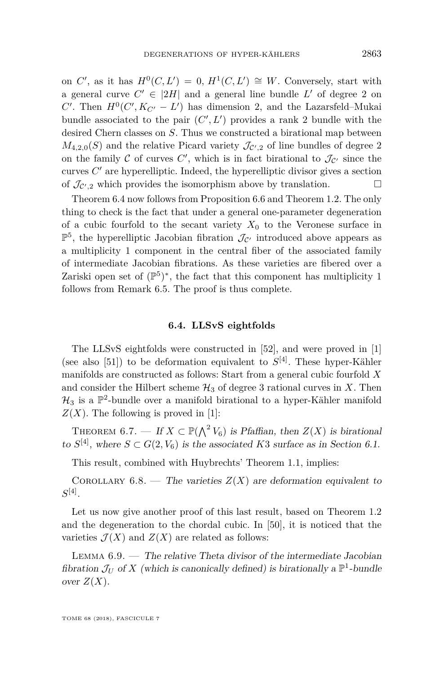on *C'*, as it has  $H^0(C, L') = 0$ ,  $H^1(C, L') \cong W$ . Conversely, start with a general curve  $C' \in |2H|$  and a general line bundle  $L'$  of degree 2 on  $C'$ . Then  $H^0(C', K_{C'} - L')$  has dimension 2, and the Lazarsfeld–Mukai bundle associated to the pair  $(C', L')$  provides a rank 2 bundle with the desired Chern classes on *S*. Thus we constructed a birational map between  $M_{4,2,0}(S)$  and the relative Picard variety  $\mathcal{J}_{\mathcal{C}',2}$  of line bundles of degree 2 on the family  $C$  of curves  $C'$ , which is in fact birational to  $\mathcal{J}_{C'}$  since the curves  $C'$  are hyperelliptic. Indeed, the hyperelliptic divisor gives a section of  $\mathcal{J}_{\mathcal{C}',2}$  which provides the isomorphism above by translation.

Theorem [6.4](#page-25-1) now follows from Proposition [6.6](#page-26-0) and Theorem [1.2.](#page-2-0) The only thing to check is the fact that under a general one-parameter degeneration of a cubic fourfold to the secant variety  $X_0$  to the Veronese surface in  $\mathbb{P}^5$ , the hyperelliptic Jacobian fibration  $\mathcal{J}_{\mathcal{C}'}$  introduced above appears as a multiplicity 1 component in the central fiber of the associated family of intermediate Jacobian fibrations. As these varieties are fibered over a Zariski open set of  $(\mathbb{P}^5)^*$ , the fact that this component has multiplicity 1 follows from Remark [6.5.](#page-26-1) The proof is thus complete.

#### **6.4. LLSvS eightfolds**

The LLSvS eightfolds were constructed in [\[52\]](#page-45-13), and were proved in [\[1\]](#page-43-14) (see also [\[51\]](#page-45-19)) to be deformation equivalent to  $S^{[4]}$ . These hyper-Kähler manifolds are constructed as follows: Start from a general cubic fourfold *X* and consider the Hilbert scheme  $\mathcal{H}_3$  of degree 3 rational curves in X. Then  $\mathcal{H}_3$  is a  $\mathbb{P}^2$ -bundle over a manifold birational to a hyper-Kähler manifold  $Z(X)$ . The following is proved in [\[1\]](#page-43-14):

THEOREM 6.7. — If  $X \subset \mathbb{P}(\bigwedge^2 V_6)$  is Pfaffian, then  $Z(X)$  is birational to  $S^{[4]}$ , where  $S \subset G(2, V_6)$  is the associated K3 surface as in Section [6.1.](#page-23-1)

This result, combined with Huybrechts' Theorem [1.1,](#page-2-2) implies:

COROLLARY 6.8. — The varieties  $Z(X)$  are deformation equivalent to  $S^{[4]}$ .

Let us now give another proof of this last result, based on Theorem [1.2](#page-2-0) and the degeneration to the chordal cubic. In [\[50\]](#page-45-0), it is noticed that the varieties  $\mathcal{J}(X)$  and  $Z(X)$  are related as follows:

<span id="page-27-0"></span>LEMMA  $6.9.$  — The relative Theta divisor of the intermediate Jacobian fibration  $\mathcal{J}_U$  of X (which is canonically defined) is birationally a  $\mathbb{P}^1$ -bundle over  $Z(X)$ .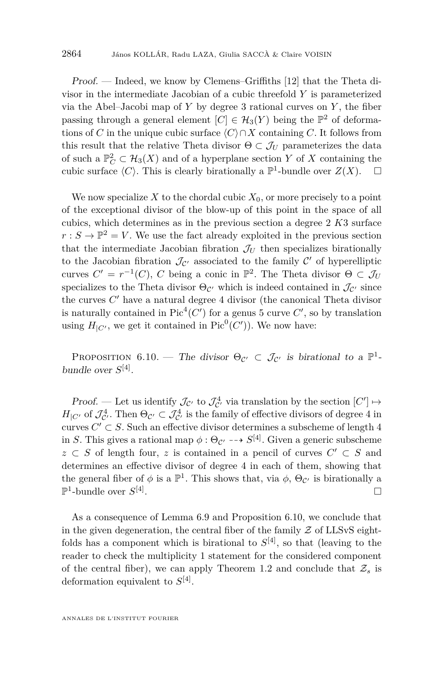Proof. — Indeed, we know by Clemens–Griffiths [\[12\]](#page-43-15) that the Theta divisor in the intermediate Jacobian of a cubic threefold *Y* is parameterized via the Abel–Jacobi map of  $Y$  by degree 3 rational curves on  $Y$ , the fiber passing through a general element  $[C] \in \mathcal{H}_3(Y)$  being the  $\mathbb{P}^2$  of deformations of *C* in the unique cubic surface  $\langle C \rangle \cap X$  containing *C*. It follows from this result that the relative Theta divisor  $\Theta \subset \mathcal{J}_U$  parameterizes the data of such a  $\mathbb{P}^2_C \subset \mathcal{H}_3(X)$  and of a hyperplane section *Y* of *X* containing the cubic surface  $\langle C \rangle$ . This is clearly birationally a  $\mathbb{P}^1$ -bundle over  $Z(X)$ .  $\Box$ 

We now specialize X to the chordal cubic  $X_0$ , or more precisely to a point of the exceptional divisor of the blow-up of this point in the space of all cubics, which determines as in the previous section a degree 2 *K*3 surface  $r : S \to \mathbb{P}^2 = V$ . We use the fact already exploited in the previous section that the intermediate Jacobian fibration  $\mathcal{J}_U$  then specializes birationally to the Jacobian fibration  $\mathcal{J}_{\mathcal{C}'}$  associated to the family  $\mathcal{C}'$  of hyperelliptic curves  $C' = r^{-1}(C)$ , *C* being a conic in  $\mathbb{P}^2$ . The Theta divisor  $\Theta \subset \mathcal{J}_U$ specializes to the Theta divisor  $\Theta_{\mathcal{C}'}$  which is indeed contained in  $\mathcal{J}_{\mathcal{C}'}$  since the curves  $C'$  have a natural degree  $4$  divisor (the canonical Theta divisor is naturally contained in  $Pic<sup>4</sup>(C')$  for a genus 5 curve  $C'$ , so by translation using  $H_{|C'}$ , we get it contained in Pic<sup>0</sup>(C')). We now have:

<span id="page-28-1"></span>PROPOSITION 6.10. — The divisor  $\Theta_{\mathcal{C}'} \subset \mathcal{J}_{\mathcal{C}'}$  is birational to a  $\mathbb{P}^1$ bundle over  $S^{[4]}$ .

Proof. — Let us identify  $\mathcal{J}_{\mathcal{C}'}$  to  $\mathcal{J}_{\mathcal{C}'}^4$  via translation by the section  $[C'] \mapsto$  $H_{|C'}$  of  $\mathcal{J}_{C'}^4$ . Then  $\Theta_{C'} \subset \mathcal{J}_{C'}^4$  is the family of effective divisors of degree 4 in curves  $C' \subset S$ . Such an effective divisor determines a subscheme of length 4 in *S*. This gives a rational map  $\phi : \Theta_{\mathcal{C}'} \dashrightarrow S^{[4]}$ . Given a generic subscheme  $z \subset S$  of length four,  $z$  is contained in a pencil of curves  $C' \subset S$  and determines an effective divisor of degree 4 in each of them, showing that the general fiber of  $\phi$  is a  $\mathbb{P}^1$ . This shows that, via  $\phi$ ,  $\Theta_{\mathcal{C}}$  is birationally a  $\mathbb{P}^1\text{-bundle over }S^{[4]}$ . В последните поставите на селото на селото на селото на селото на селото на селото на селото на селото на се<br>Селото на селото на селото на селото на селото на селото на селото на селото на селото на селото на селото на

<span id="page-28-0"></span>As a consequence of Lemma [6.9](#page-27-0) and Proposition [6.10,](#page-28-1) we conclude that in the given degeneration, the central fiber of the family  $\mathcal Z$  of LLSvS eightfolds has a component which is birational to  $S^{[4]}$ , so that (leaving to the reader to check the multiplicity 1 statement for the considered component of the central fiber), we can apply Theorem [1.2](#page-2-0) and conclude that  $\mathcal{Z}_s$  is deformation equivalent to *S* [4] .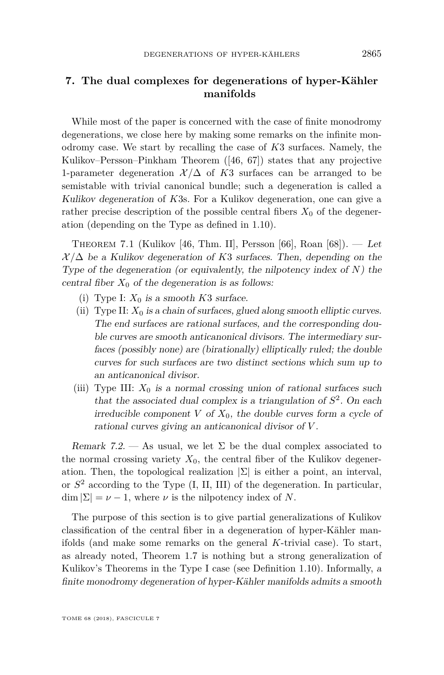#### **7. The dual complexes for degenerations of hyper-Kähler manifolds**

While most of the paper is concerned with the case of finite monodromy degenerations, we close here by making some remarks on the infinite monodromy case. We start by recalling the case of *K*3 surfaces. Namely, the Kulikov–Persson–Pinkham Theorem ([\[46,](#page-45-10) [67\]](#page-46-8)) states that any projective 1-parameter degeneration  $\mathcal{X}/\Delta$  of K3 surfaces can be arranged to be semistable with trivial canonical bundle; such a degeneration is called a Kulikov degeneration of *K*3s. For a Kulikov degeneration, one can give a rather precise description of the possible central fibers  $X_0$  of the degeneration (depending on the Type as defined in [1.10\)](#page-6-0).

<span id="page-29-0"></span>THEOREM 7.1 (Kulikov [\[46,](#page-45-10) Thm. II], Persson [\[66\]](#page-45-20), Roan [\[68\]](#page-46-11)). — Let  $X/\Delta$  be a Kulikov degeneration of K3 surfaces. Then, depending on the Type of the degeneration (or equivalently, the nilpotency index of *N*) the central fiber  $X_0$  of the degeneration is as follows:

- (i) Type I:  $X_0$  is a smooth  $K3$  surface.
- (ii) Type II:  $X_0$  is a chain of surfaces, glued along smooth elliptic curves. The end surfaces are rational surfaces, and the corresponding double curves are smooth anticanonical divisors. The intermediary surfaces (possibly none) are (birationally) elliptically ruled; the double curves for such surfaces are two distinct sections which sum up to an anticanonical divisor.
- (iii) Type III:  $X_0$  is a normal crossing union of rational surfaces such that the associated dual complex is a triangulation of  $S<sup>2</sup>$ . On each irreducible component *V* of  $X_0$ , the double curves form a cycle of rational curves giving an anticanonical divisor of *V* .

<span id="page-29-1"></span>Remark 7.2. — As usual, we let  $\Sigma$  be the dual complex associated to the normal crossing variety  $X_0$ , the central fiber of the Kulikov degeneration. Then, the topological realization  $|\Sigma|$  is either a point, an interval, or *S* <sup>2</sup> according to the Type (I, II, III) of the degeneration. In particular,  $\dim |\Sigma| = \nu - 1$ , where  $\nu$  is the nilpotency index of *N*.

The purpose of this section is to give partial generalizations of Kulikov classification of the central fiber in a degeneration of hyper-Kähler manifolds (and make some remarks on the general *K*-trivial case). To start, as already noted, Theorem [1.7](#page-3-0) is nothing but a strong generalization of Kulikov's Theorems in the Type I case (see Definition [1.10\)](#page-6-0). Informally, a finite monodromy degeneration of hyper-Kähler manifolds admits a smooth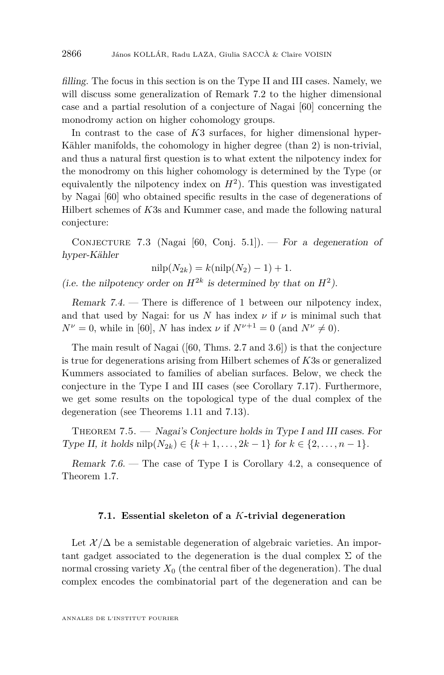filling. The focus in this section is on the Type II and III cases. Namely, we will discuss some generalization of Remark [7.2](#page-29-1) to the higher dimensional case and a partial resolution of a conjecture of Nagai [\[60\]](#page-45-9) concerning the monodromy action on higher cohomology groups.

In contrast to the case of *K*3 surfaces, for higher dimensional hyper-Kähler manifolds, the cohomology in higher degree (than 2) is non-trivial, and thus a natural first question is to what extent the nilpotency index for the monodromy on this higher cohomology is determined by the Type (or equivalently the nilpotency index on  $H^2$ ). This question was investigated by Nagai [\[60\]](#page-45-9) who obtained specific results in the case of degenerations of Hilbert schemes of *K*3s and Kummer case, and made the following natural conjecture:

<span id="page-30-1"></span>CONJECTURE 7.3 (Nagai [\[60,](#page-45-9) Conj. 5.1]). — For a degeneration of hyper-Kähler

$$
nilp(N_{2k}) = k(nilp(N_2) - 1) + 1.
$$

(i.e. the nilpotency order on  $H^{2k}$  is determined by that on  $H^2$ ).

Remark 7.4. — There is difference of 1 between our nilpotency index, and that used by Nagai: for us *N* has index  $\nu$  if  $\nu$  is minimal such that  $N^{\nu} = 0$ , while in [\[60\]](#page-45-9), *N* has index *ν* if  $N^{\nu+1} = 0$  (and  $N^{\nu} \neq 0$ ).

The main result of Nagai ([\[60,](#page-45-9) Thms. 2.7 and 3.6]) is that the conjecture is true for degenerations arising from Hilbert schemes of *K*3s or generalized Kummers associated to families of abelian surfaces. Below, we check the conjecture in the Type I and III cases (see Corollary [7.17\)](#page-38-0). Furthermore, we get some results on the topological type of the dual complex of the degeneration (see Theorems [1.11](#page-7-0) and [7.13\)](#page-35-0).

<span id="page-30-0"></span>Theorem 7.5. — Nagai's Conjecture holds in Type I and III cases. For Type II, it holds nilp( $N_{2k}$ ) ∈ { $k+1, ..., 2k-1$ } for  $k \in \{2, ..., n-1\}$ .

Remark  $7.6.$  — The case of Type I is Corollary [4.2,](#page-18-0) a consequence of Theorem [1.7.](#page-3-0)

#### **7.1. Essential skeleton of a** *K***-trivial degeneration**

Let  $\mathcal{X}/\Delta$  be a semistable degeneration of algebraic varieties. An important gadget associated to the degeneration is the dual complex  $\Sigma$  of the normal crossing variety  $X_0$  (the central fiber of the degeneration). The dual complex encodes the combinatorial part of the degeneration and can be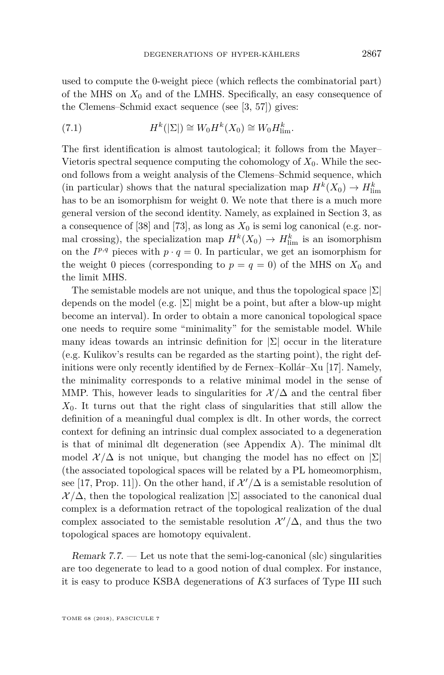used to compute the 0-weight piece (which reflects the combinatorial part) of the MHS on  $X_0$  and of the LMHS. Specifically, an easy consequence of the Clemens–Schmid exact sequence (see [\[3,](#page-43-18) [57\]](#page-45-21)) gives:

<span id="page-31-0"></span>(7.1) 
$$
H^k(|\Sigma|) \cong W_0 H^k(X_0) \cong W_0 H_{\text{lim}}^k.
$$

The first identification is almost tautological; it follows from the Mayer– Vietoris spectral sequence computing the cohomology of  $X_0$ . While the second follows from a weight analysis of the Clemens–Schmid sequence, which (in particular) shows that the natural specialization map  $H^k(X_0) \to H^k_{\text{lim}}$ has to be an isomorphism for weight 0. We note that there is a much more general version of the second identity. Namely, as explained in Section [3,](#page-11-0) as a consequence of [\[38\]](#page-44-2) and [\[73\]](#page-46-4), as long as  $X_0$  is semi log canonical (e.g. normal crossing), the specialization map  $H^k(X_0) \to H^k_{\text{lim}}$  is an isomorphism on the  $I^{p,q}$  pieces with  $p \cdot q = 0$ . In particular, we get an isomorphism for the weight 0 pieces (corresponding to  $p = q = 0$ ) of the MHS on  $X_0$  and the limit MHS.

The semistable models are not unique, and thus the topological space  $|\Sigma|$ depends on the model (e.g.  $\Sigma$ ) might be a point, but after a blow-up might become an interval). In order to obtain a more canonical topological space one needs to require some "minimality" for the semistable model. While many ideas towards an intrinsic definition for  $|\Sigma|$  occur in the literature (e.g. Kulikov's results can be regarded as the starting point), the right definitions were only recently identified by de Fernex–Kollár–Xu [\[17\]](#page-43-6). Namely, the minimality corresponds to a relative minimal model in the sense of MMP. This, however leads to singularities for  $\mathcal{X}/\Delta$  and the central fiber *X*0. It turns out that the right class of singularities that still allow the definition of a meaningful dual complex is dlt. In other words, the correct context for defining an intrinsic dual complex associated to a degeneration is that of minimal dlt degeneration (see Appendix [A\)](#page-40-1). The minimal dlt model  $\mathcal{X}/\Delta$  is not unique, but changing the model has no effect on  $|\Sigma|$ (the associated topological spaces will be related by a PL homeomorphism, see [\[17,](#page-43-6) Prop. 11]). On the other hand, if  $\mathcal{X}'/\Delta$  is a semistable resolution of  $\mathcal{X}/\Delta$ , then the topological realization  $|\Sigma|$  associated to the canonical dual complex is a deformation retract of the topological realization of the dual complex associated to the semistable resolution  $\mathcal{X}'/\Delta$ , and thus the two topological spaces are homotopy equivalent.

Remark  $7.7.$  — Let us note that the semi-log-canonical (slc) singularities are too degenerate to lead to a good notion of dual complex. For instance, it is easy to produce KSBA degenerations of *K*3 surfaces of Type III such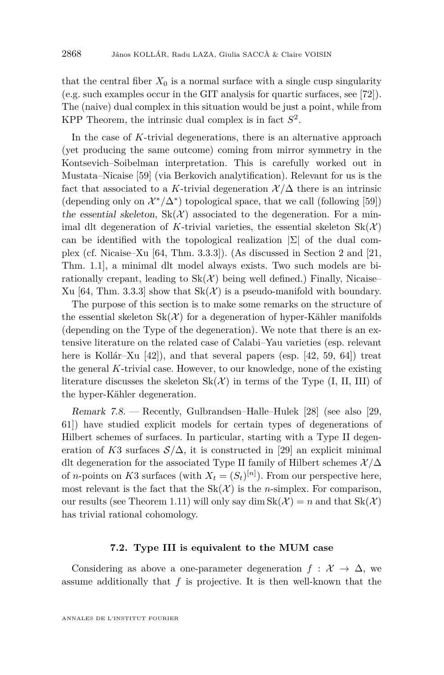that the central fiber  $X_0$  is a normal surface with a single cusp singularity (e.g. such examples occur in the GIT analysis for quartic surfaces, see [\[72\]](#page-46-12)). The (naive) dual complex in this situation would be just a point, while from KPP Theorem, the intrinsic dual complex is in fact *S* 2 .

In the case of *K*-trivial degenerations, there is an alternative approach (yet producing the same outcome) coming from mirror symmetry in the Kontsevich–Soibelman interpretation. This is carefully worked out in Mustata–Nicaise [\[59\]](#page-45-6) (via Berkovich analytification). Relevant for us is the fact that associated to a *K*-trivial degeneration  $\mathcal{X}/\Delta$  there is an intrinsic (depending only on  $\mathcal{X}^*/\Delta^*$ ) topological space, that we call (following [\[59\]](#page-45-6)) the essential skeleton,  $Sk(X)$  associated to the degeneration. For a minimal dlt degeneration of K-trivial varieties, the essential skeleton  $Sk(\mathcal{X})$ can be identified with the topological realization  $|\Sigma|$  of the dual complex (cf. Nicaise–Xu [\[64,](#page-45-7) Thm. 3.3.3]). (As discussed in Section [2](#page-8-0) and [\[21,](#page-43-2) Thm. 1.1], a minimal dlt model always exists. Two such models are birationally crepant, leading to  $Sk(\mathcal{X})$  being well defined.) Finally, Nicaise– Xu [\[64,](#page-45-7) Thm. 3.3.3] show that  $Sk(\mathcal{X})$  is a pseudo-manifold with boundary.

The purpose of this section is to make some remarks on the structure of the essential skeleton  $Sk(\mathcal{X})$  for a degeneration of hyper-Kähler manifolds (depending on the Type of the degeneration). We note that there is an extensive literature on the related case of Calabi–Yau varieties (esp. relevant here is Kollár–Xu [\[42\]](#page-44-5)), and that several papers (esp. [\[42,](#page-44-5) [59,](#page-45-6) [64\]](#page-45-7)) treat the general *K*-trivial case. However, to our knowledge, none of the existing literature discusses the skeleton  $Sk(\mathcal{X})$  in terms of the Type (I, II, III) of the hyper-Kähler degeneration.

Remark 7.8. — Recently, Gulbrandsen–Halle–Hulek [\[28\]](#page-44-15) (see also [\[29,](#page-44-16) [61\]](#page-45-22)) have studied explicit models for certain types of degenerations of Hilbert schemes of surfaces. In particular, starting with a Type II degeneration of *K*3 surfaces  $S/\Delta$ , it is constructed in [\[29\]](#page-44-16) an explicit minimal dlt degeneration for the associated Type II family of Hilbert schemes  $\mathcal{X}/\Delta$ of *n*-points on *K*3 surfaces (with  $X_t = (S_t)^{[n]}$ ). From our perspective here, most relevant is the fact that the  $Sk(\mathcal{X})$  is the *n*-simplex. For comparison, our results (see Theorem [1.11\)](#page-7-0) will only say dim  $Sk(\mathcal{X}) = n$  and that  $Sk(\mathcal{X})$ has trivial rational cohomology.

#### **7.2. Type III is equivalent to the MUM case**

Considering as above a one-parameter degeneration  $f: \mathcal{X} \to \Delta$ , we assume additionally that  $f$  is projective. It is then well-known that the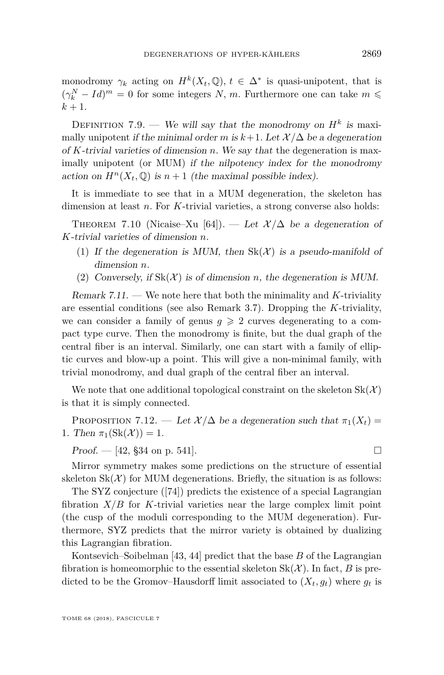monodromy  $\gamma_k$  acting on  $H^k(X_t, \mathbb{Q})$ ,  $t \in \Delta^*$  is quasi-unipotent, that is  $(\gamma_k^N - Id)^m = 0$  for some integers *N, m*. Furthermore one can take  $m \leq$  $k + 1$ .

DEFINITION 7.9. — We will say that the monodromy on  $H^k$  is maximally unipotent if the minimal order *m* is  $k+1$ . Let  $\mathcal{X}/\Delta$  be a degeneration of *K*-trivial varieties of dimension *n*. We say that the degeneration is maximally unipotent (or MUM) if the nilpotency index for the monodromy action on  $H^n(X_t, \mathbb{Q})$  is  $n+1$  (the maximal possible index).

It is immediate to see that in a MUM degeneration, the skeleton has dimension at least *n*. For *K*-trivial varieties, a strong converse also holds:

THEOREM 7.10 (Nicaise–Xu [\[64\]](#page-45-7)). — Let  $\mathcal{X}/\Delta$  be a degeneration of *K*-trivial varieties of dimension *n*.

- (1) If the degeneration is MUM, then  $Sk(\mathcal{X})$  is a pseudo-manifold of dimension *n*.
- (2) Conversely, if  $Sk(\mathcal{X})$  is of dimension *n*, the degeneration is MUM.

Remark 7.11. — We note here that both the minimality and *K*-triviality are essential conditions (see also Remark [3.7\)](#page-14-5). Dropping the *K*-triviality, we can consider a family of genus  $g \geq 2$  curves degenerating to a compact type curve. Then the monodromy is finite, but the dual graph of the central fiber is an interval. Similarly, one can start with a family of elliptic curves and blow-up a point. This will give a non-minimal family, with trivial monodromy, and dual graph of the central fiber an interval.

We note that one additional topological constraint on the skeleton  $Sk(\mathcal{X})$ is that it is simply connected.

<span id="page-33-0"></span>PROPOSITION 7.12. — Let  $\mathcal{X}/\Delta$  be a degeneration such that  $\pi_1(X_t)$  = 1. Then  $\pi_1(\text{Sk}(\mathcal{X})) = 1$ .

 $Proof. - [42, §34$  $Proof. - [42, §34$  $Proof. - [42, §34$  on p. 541].

Mirror symmetry makes some predictions on the structure of essential skeleton  $Sk(\mathcal{X})$  for MUM degenerations. Briefly, the situation is as follows:

The SYZ conjecture ([\[74\]](#page-46-13)) predicts the existence of a special Lagrangian fibration *X/B* for *K*-trivial varieties near the large complex limit point (the cusp of the moduli corresponding to the MUM degeneration). Furthermore, SYZ predicts that the mirror variety is obtained by dualizing this Lagrangian fibration.

Kontsevich–Soibelman [\[43,](#page-44-4) [44\]](#page-45-8) predict that the base *B* of the Lagrangian fibration is homeomorphic to the essential skeleton  $Sk(\mathcal{X})$ . In fact, *B* is predicted to be the Gromov–Hausdorff limit associated to  $(X_t, g_t)$  where  $g_t$  is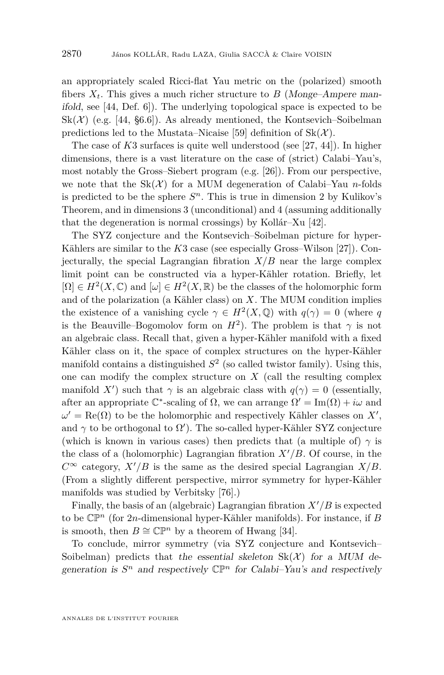an appropriately scaled Ricci-flat Yau metric on the (polarized) smooth fibers  $X_t$ . This gives a much richer structure to *B* (Monge–Ampere manifold, see [\[44,](#page-45-8) Def. 6]). The underlying topological space is expected to be  $Sk(\mathcal{X})$  (e.g. [\[44,](#page-45-8) §6.6]). As already mentioned, the Kontsevich–Soibelman predictions led to the Mustata–Nicaise [\[59\]](#page-45-6) definition of  $Sk(\mathcal{X})$ .

The case of *K*3 surfaces is quite well understood (see [\[27,](#page-44-17) [44\]](#page-45-8)). In higher dimensions, there is a vast literature on the case of (strict) Calabi–Yau's, most notably the Gross–Siebert program (e.g. [\[26\]](#page-44-18)). From our perspective, we note that the  $Sk(\mathcal{X})$  for a MUM degeneration of Calabi–Yau *n*-folds is predicted to be the sphere  $S<sup>n</sup>$ . This is true in dimension 2 by Kulikov's Theorem, and in dimensions 3 (unconditional) and 4 (assuming additionally that the degeneration is normal crossings) by Kollár–Xu [\[42\]](#page-44-5).

The SYZ conjecture and the Kontsevich–Soibelman picture for hyper-Kählers are similar to the *K*3 case (see especially Gross–Wilson [\[27\]](#page-44-17)). Conjecturally, the special Lagrangian fibration  $X/B$  near the large complex limit point can be constructed via a hyper-Kähler rotation. Briefly, let  $[\Omega] \in H^2(X, \mathbb{C})$  and  $[\omega] \in H^2(X, \mathbb{R})$  be the classes of the holomorphic form and of the polarization (a Kähler class) on *X*. The MUM condition implies the existence of a vanishing cycle  $\gamma \in H^2(X, \mathbb{Q})$  with  $q(\gamma) = 0$  (where q is the Beauville–Bogomolov form on  $H^2$ ). The problem is that  $\gamma$  is not an algebraic class. Recall that, given a hyper-Kähler manifold with a fixed Kähler class on it, the space of complex structures on the hyper-Kähler manifold contains a distinguished  $S^2$  (so called twistor family). Using this, one can modify the complex structure on *X* (call the resulting complex manifold *X'*) such that  $\gamma$  is an algebraic class with  $q(\gamma) = 0$  (essentially, after an appropriate  $\mathbb{C}^*$ -scaling of  $\Omega$ , we can arrange  $\Omega' = \text{Im}(\Omega) + i\omega$  and  $\omega' = \text{Re}(\Omega)$  to be the holomorphic and respectively Kähler classes on X', and  $\gamma$  to be orthogonal to  $\Omega'$ ). The so-called hyper-Kähler SYZ conjecture (which is known in various cases) then predicts that (a multiple of)  $\gamma$  is the class of a (holomorphic) Lagrangian fibration  $X'/B$ . Of course, in the  $C^{\infty}$  category,  $X'/B$  is the same as the desired special Lagrangian *X/B*. (From a slightly different perspective, mirror symmetry for hyper-Kähler manifolds was studied by Verbitsky [\[76\]](#page-46-14).)

Finally, the basis of an (algebraic) Lagrangian fibration  $X'/B$  is expected to be CP*<sup>n</sup>* (for 2*n*-dimensional hyper-Kähler manifolds). For instance, if *B* is smooth, then  $B \cong \mathbb{CP}^n$  by a theorem of Hwang [\[34\]](#page-44-19).

To conclude, mirror symmetry (via SYZ conjecture and Kontsevich– Soibelman) predicts that the essential skeleton  $Sk(\mathcal{X})$  for a MUM degeneration is  $S^n$  and respectively  $\mathbb{CP}^n$  for Calabi–Yau's and respectively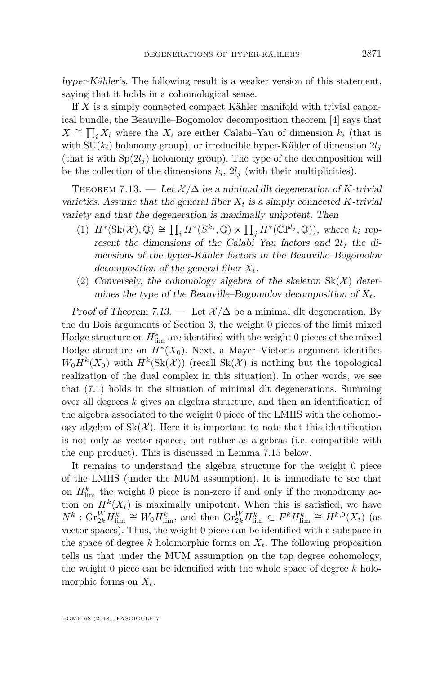hyper-Kähler's. The following result is a weaker version of this statement, saying that it holds in a cohomological sense.

If *X* is a simply connected compact Kähler manifold with trivial canonical bundle, the Beauville–Bogomolov decomposition theorem [\[4\]](#page-43-19) says that *X* ≅  $\prod_i X_i$  where the  $X_i$  are either Calabi–Yau of dimension  $k_i$  (that is with  $SU(k_i)$  holonomy group), or irreducible hyper-Kähler of dimension  $2l_i$ (that is with  $Sp(2l_i)$  holonomy group). The type of the decomposition will be the collection of the dimensions  $k_i$ ,  $2l_j$  (with their multiplicities).

<span id="page-35-0"></span>THEOREM 7.13. — Let  $\mathcal{X}/\Delta$  be a minimal dlt degeneration of *K*-trivial varieties. Assume that the general fiber  $X_t$  is a simply connected  $K$ -trivial variety and that the degeneration is maximally unipotent. Then

- $(H^*(\text{Sk}(\mathcal{X}), \mathbb{Q}) \cong \prod_i H^*(S^{k_i}, \mathbb{Q}) \times \prod_j H^*(\mathbb{CP}^{l_j}, \mathbb{Q})$ , where  $k_i$  represent the dimensions of the Calabi–Yau factors and  $2l_j$  the dimensions of the hyper-Kähler factors in the Beauville–Bogomolov decomposition of the general fiber *Xt*.
- (2) Conversely, the cohomology algebra of the skeleton  $Sk(\mathcal{X})$  determines the type of the Beauville–Bogomolov decomposition of  $X_t$ .

Proof of Theorem [7.13.](#page-35-0) — Let  $\mathcal{X}/\Delta$  be a minimal dlt degeneration. By the du Bois arguments of Section [3,](#page-11-0) the weight 0 pieces of the limit mixed Hodge structure on  $H^*_{\text{lim}}$  are identified with the weight 0 pieces of the mixed Hodge structure on *H*<sup>∗</sup> (*X*0). Next, a Mayer–Vietoris argument identifies  $W_0 H^k(X_0)$  with  $H^k(\text{Sk}(\mathcal{X}))$  (recall  $\text{Sk}(\mathcal{X})$  is nothing but the topological realization of the dual complex in this situation). In other words, we see that [\(7.1\)](#page-31-0) holds in the situation of minimal dlt degenerations. Summing over all degrees *k* gives an algebra structure, and then an identification of the algebra associated to the weight 0 piece of the LMHS with the cohomology algebra of  $Sk(\mathcal{X})$ . Here it is important to note that this identification is not only as vector spaces, but rather as algebras (i.e. compatible with the cup product). This is discussed in Lemma [7.15](#page-37-0) below.

It remains to understand the algebra structure for the weight 0 piece of the LMHS (under the MUM assumption). It is immediate to see that on  $H_{\text{lim}}^k$  the weight 0 piece is non-zero if and only if the monodromy action on  $H^k(X_t)$  is maximally unipotent. When this is satisfied, we have  $N^k$ :  $\mathrm{Gr}^W_{2k}H^k_{\lim} \cong W_0H^k_{\lim}$ , and then  $\mathrm{Gr}^W_{2k}H^k_{\lim} \subset F^kH^k_{\lim} \cong H^{k,0}(X_t)$  (as vector spaces). Thus, the weight 0 piece can be identified with a subspace in the space of degree *k* holomorphic forms on *Xt*. The following proposition tells us that under the MUM assumption on the top degree cohomology, the weight 0 piece can be identified with the whole space of degree *k* holomorphic forms on *Xt*.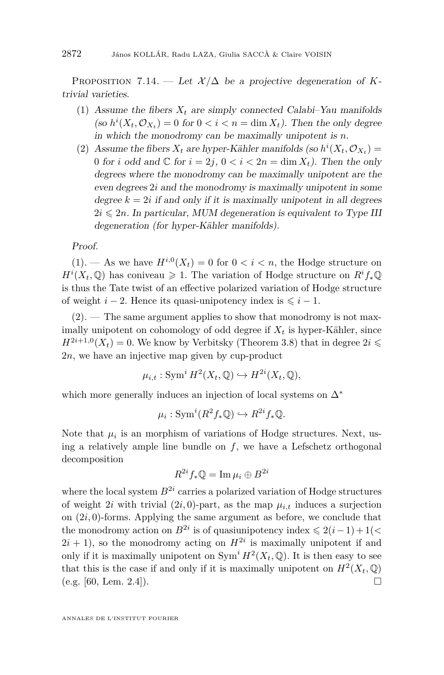PROPOSITION 7.14. — Let  $\mathcal{X}/\Delta$  be a projective degeneration of *K*trivial varieties.

- <span id="page-36-0"></span>(1) Assume the fibers  $X_t$  are simply connected Calabi–Yau manifolds (so  $h^{i}(X_t, \mathcal{O}_{X_t}) = 0$  for  $0 < i < n = \dim X_t$ ). Then the only degree in which the monodromy can be maximally unipotent is *n*.
- <span id="page-36-1"></span>(2) Assume the fibers  $X_t$  are hyper-Kähler manifolds (so  $h^i(X_t, \mathcal{O}_{X_t}) =$ 0 for *i* odd and  $\mathbb C$  for  $i = 2j$ ,  $0 < i < 2n = \dim X_t$ ). Then the only degrees where the monodromy can be maximally unipotent are the even degrees 2*i* and the monodromy is maximally unipotent in some degree  $k = 2i$  if and only if it is maximally unipotent in all degrees  $2i \leq 2n$ . In particular, MUM degeneration is equivalent to Type III degeneration (for hyper-Kähler manifolds).

Proof.

 $(1)$ . — As we have  $H^{i,0}(X_t) = 0$  for  $0 < i < n$ , the Hodge structure on  $H^{i}(X_{t}, \mathbb{Q})$  has coniveau  $\geq 1$ . The variation of Hodge structure on  $R^{i} f_{*} \mathbb{Q}$ is thus the Tate twist of an effective polarized variation of Hodge structure of weight  $i - 2$ . Hence its quasi-unipotency index is  $\leq i - 1$ .

 $(2)$ . — The same argument applies to show that monodromy is not maximally unipotent on cohomology of odd degree if  $X_t$  is hyper-Kähler, since  $H^{2i+1,0}(X_t) = 0$ . We know by Verbitsky (Theorem [3.8\)](#page-14-4) that in degree  $2i \leq$ 2*n*, we have an injective map given by cup-product

$$
\mu_{i,t}: \operatorname{Sym}^i H^2(X_t, \mathbb{Q}) \hookrightarrow H^{2i}(X_t, \mathbb{Q}),
$$

which more generally induces an injection of local systems on ∆<sup>∗</sup>

$$
\mu_i: \operatorname{Sym}^i(R^2 f_* \mathbb{Q}) \hookrightarrow R^{2i} f_* \mathbb{Q}.
$$

Note that  $\mu_i$  is an morphism of variations of Hodge structures. Next, using a relatively ample line bundle on  $f$ , we have a Lefschetz orthogonal decomposition

$$
R^{2i} f_* \mathbb{Q} = \operatorname{Im} \mu_i \oplus B^{2i}
$$

where the local system  $B^{2i}$  carries a polarized variation of Hodge structures of weight 2*i* with trivial  $(2i, 0)$ -part, as the map  $\mu_{i,t}$  induces a surjection on (2*i,* 0)-forms. Applying the same argument as before, we conclude that the monodromy action on  $B^{2i}$  is of quasiunipotency index  $\leq 2(i-1) + 1$ ( $\lt$  $2i + 1$ , so the monodromy acting on  $H^{2i}$  is maximally unipotent if and only if it is maximally unipotent on  $\text{Sym}^i H^2(X_t, \mathbb{Q})$ . It is then easy to see that this is the case if and only if it is maximally unipotent on  $H^2(X_t, \mathbb{Q})$ (e.g. [\[60,](#page-45-9) Lem. 2.4]).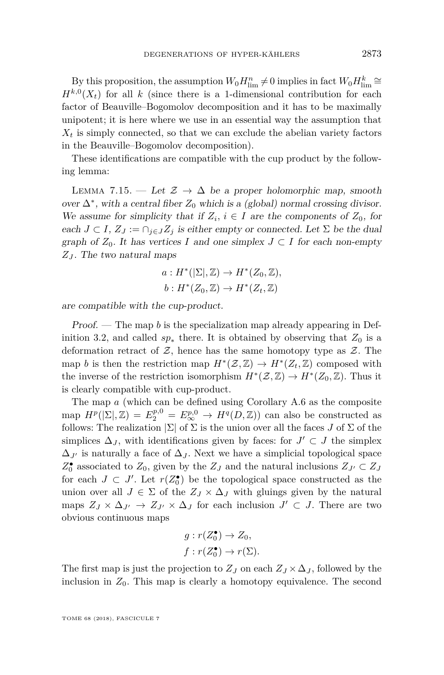By this proposition, the assumption  $W_0 H_{\text{lim}}^n \neq 0$  implies in fact  $W_0 H_{\text{lim}}^k \cong$  $H^{k,0}(X_t)$  for all *k* (since there is a 1-dimensional contribution for each factor of Beauville–Bogomolov decomposition and it has to be maximally unipotent; it is here where we use in an essential way the assumption that  $X_t$  is simply connected, so that we can exclude the abelian variety factors in the Beauville–Bogomolov decomposition).

These identifications are compatible with the cup product by the following lemma:

<span id="page-37-0"></span>LEMMA 7.15. — Let  $\mathcal{Z} \to \Delta$  be a proper holomorphic map, smooth over  $\Delta^*$ , with a central fiber  $Z_0$  which is a (global) normal crossing divisor. We assume for simplicity that if  $Z_i$ ,  $i \in I$  are the components of  $Z_0$ , for each  $J \subset I$ ,  $Z_J := \bigcap_{j \in J} Z_j$  is either empty or connected. Let  $\Sigma$  be the dual graph of  $Z_0$ . It has vertices *I* and one simplex  $J \subset I$  for each non-empty *Z<sup>J</sup>* . The two natural maps

$$
a: H^*(\vert \Sigma \vert, \mathbb{Z}) \to H^*(Z_0, \mathbb{Z}),
$$
  

$$
b: H^*(Z_0, \mathbb{Z}) \to H^*(Z_t, \mathbb{Z})
$$

are compatible with the cup-product.

Proof. — The map *b* is the specialization map already appearing in Def-inition [3.2,](#page-13-3) and called  $sp_*$  there. It is obtained by observing that  $Z_0$  is a deformation retract of  $\mathcal{Z}$ , hence has the same homotopy type as  $\mathcal{Z}$ . The map *b* is then the restriction map  $H^*(\mathcal{Z}, \mathbb{Z}) \to H^*(Z_t, \mathbb{Z})$  composed with the inverse of the restriction isomorphism  $H^*(\mathcal{Z}, \mathbb{Z}) \to H^*(Z_0, \mathbb{Z})$ . Thus it is clearly compatible with cup-product.

The map *a* (which can be defined using Corollary [A.6](#page-42-0) as the composite map  $H^p(|\Sigma|, \mathbb{Z}) = E_2^{p,0} = E_{\infty}^{p,0} \to H^q(D, \mathbb{Z})$  can also be constructed as follows: The realization  $|\Sigma|$  of  $\Sigma$  is the union over all the faces *J* of  $\Sigma$  of the simplices  $\Delta_J$ , with identifications given by faces: for  $J' \subset J$  the simplex  $\Delta_{J}$  is naturally a face of  $\Delta_{J}$ . Next we have a simplicial topological space  $Z_0^{\bullet}$  associated to  $Z_0$ , given by the  $Z_J$  and the natural inclusions  $Z_{J'} \subset Z_J$ for each  $J \subset J'$ . Let  $r(Z_0^{\bullet})$  be the topological space constructed as the union over all  $J \in \Sigma$  of the  $Z_J \times \Delta_J$  with gluings given by the natural maps  $Z_J \times \Delta_{J'} \to Z_{J'} \times \Delta_J$  for each inclusion  $J' \subset J$ . There are two obvious continuous maps

$$
g: r(Z_0^{\bullet}) \to Z_0,
$$
  

$$
f: r(Z_0^{\bullet}) \to r(\Sigma).
$$

The first map is just the projection to  $Z_J$  on each  $Z_J \times \Delta_J$ , followed by the inclusion in  $Z_0$ . This map is clearly a homotopy equivalence. The second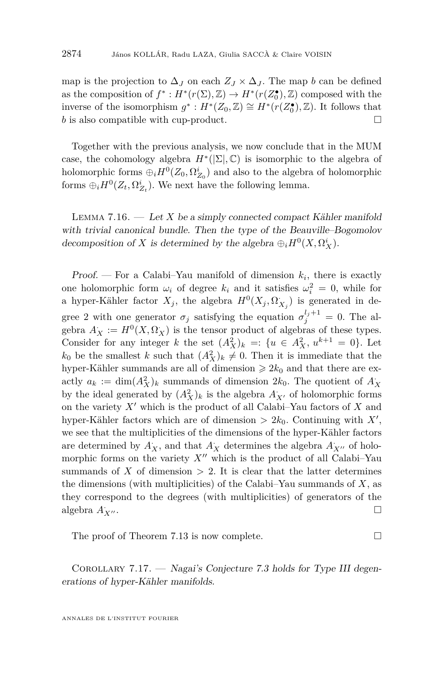map is the projection to  $\Delta_J$  on each  $Z_J \times \Delta_J$ . The map *b* can be defined as the composition of  $f^*: H^*(r(\Sigma), \mathbb{Z}) \to H^*(r(\mathbb{Z}_0^{\bullet}), \mathbb{Z})$  composed with the inverse of the isomorphism  $g^*$ :  $H^*(Z_0, \mathbb{Z}) \cong H^*(r(Z_0^{\bullet}), \mathbb{Z})$ . It follows that *b* is also compatible with cup-product. □

Together with the previous analysis, we now conclude that in the MUM case, the cohomology algebra  $H^*(\Sigma, \mathbb{C})$  is isomorphic to the algebra of holomorphic forms  $\oplus_i H^0(Z_0, \Omega_{Z_0}^i)$  and also to the algebra of holomorphic forms  $\oplus_i H^0(Z_t, \Omega_{Z_t}^i)$ . We next have the following lemma.

Lemma 7.16. — Let *X* be a simply connected compact Kähler manifold with trivial canonical bundle. Then the type of the Beauville–Bogomolov decomposition of *X* is determined by the algebra  $\bigoplus_i H^0(X, \Omega^i_X)$ .

Proof. — For a Calabi–Yau manifold of dimension  $k_i$ , there is exactly one holomorphic form  $\omega_i$  of degree  $k_i$  and it satisfies  $\omega_i^2 = 0$ , while for a hyper-Kähler factor  $X_j$ , the algebra  $H^0(X_j, \Omega_{X_j})$  is generated in degree 2 with one generator  $\sigma_j$  satisfying the equation  $\sigma_j^{l_j+1} = 0$ . The algebra  $A_X := H^0(X, \Omega_X)$  is the tensor product of algebras of these types. Consider for any integer *k* the set  $(A_X^2)_k =: \{u \in A_X^2, u^{k+1} = 0\}$ . Let  $k_0$  be the smallest *k* such that  $(A_X^2)_k \neq 0$ . Then it is immediate that the hyper-Kähler summands are all of dimension  $\ge 2k_0$  and that there are exactly  $a_k := \dim(A_X^2)_k$  summands of dimension  $2k_0$ . The quotient of  $A_X$ by the ideal generated by  $(A_X^2)_k$  is the algebra  $A_{X'}$  of holomorphic forms on the variety  $X'$  which is the product of all Calabi–Yau factors of  $X$  and hyper-Kähler factors which are of dimension  $> 2k_0$ . Continuing with  $X'$ , we see that the multiplicities of the dimensions of the hyper-Kähler factors are determined by  $A_X^*$ , and that  $A_X^*$  determines the algebra  $A_{X''}$  of holomorphic forms on the variety  $X''$  which is the product of all Calabi–Yau summands of  $X$  of dimension  $> 2$ . It is clear that the latter determines the dimensions (with multiplicities) of the Calabi–Yau summands of *X*, as they correspond to the degrees (with multiplicities) of generators of the algebra  $A_{X''}.$  $\Gamma$   $\overline{X}$ <sup>0</sup> .  $\Box$ 

The proof of Theorem [7.13](#page-35-0) is now complete.

<span id="page-38-0"></span>COROLLARY  $7.17.$  — Nagai's Conjecture [7.3](#page-30-1) holds for Type III degenerations of hyper-Kähler manifolds.

<span id="page-38-1"></span>ANNALES DE L'INSTITUT FOURIER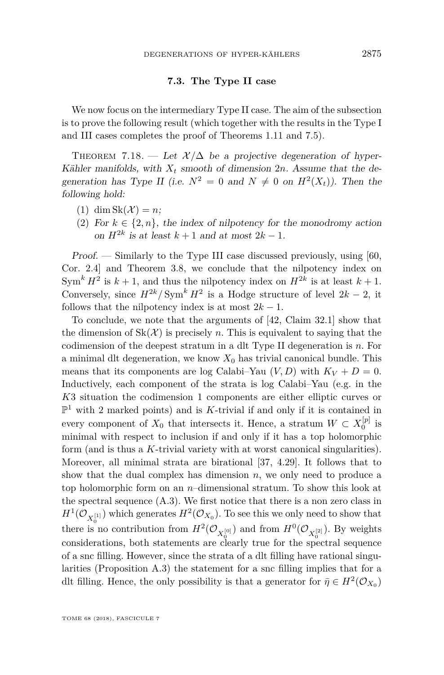#### **7.3. The Type II case**

We now focus on the intermediary Type II case. The aim of the subsection is to prove the following result (which together with the results in the Type I and III cases completes the proof of Theorems [1.11](#page-7-0) and [7.5\)](#page-30-0).

THEOREM 7.18. — Let  $\mathcal{X}/\Delta$  be a projective degeneration of hyper-Kähler manifolds, with  $X_t$  smooth of dimension  $2n$ . Assume that the degeneration has Type II (i.e.  $N^2 = 0$  and  $N \neq 0$  on  $H^2(X_t)$ ). Then the following hold:

- (1) dim  $Sk(\mathcal{X}) = n;$
- (2) For  $k \in \{2, n\}$ , the index of nilpotency for the monodromy action on  $H^{2k}$  is at least  $k + 1$  and at most  $2k - 1$ .

Proof. — Similarly to the Type III case discussed previously, using [\[60,](#page-45-9) Cor. 2.4] and Theorem [3.8,](#page-14-4) we conclude that the nilpotency index on  $\text{Sym}^k H^2$  is  $k+1$ , and thus the nilpotency index on  $H^{2k}$  is at least  $k+1$ . Conversely, since  $H^{2k}/\text{Sym}^k H^2$  is a Hodge structure of level  $2k-2$ , it follows that the nilpotency index is at most  $2k - 1$ .

To conclude, we note that the arguments of [\[42,](#page-44-5) Claim 32.1] show that the dimension of  $Sk(\mathcal{X})$  is precisely *n*. This is equivalent to saying that the codimension of the deepest stratum in a dlt Type II degeneration is *n*. For a minimal dlt degeneration, we know  $X_0$  has trivial canonical bundle. This means that its components are log Calabi–Yau  $(V, D)$  with  $K_V + D = 0$ . Inductively, each component of the strata is log Calabi–Yau (e.g. in the *K*3 situation the codimension 1 components are either elliptic curves or  $\mathbb{P}^1$  with 2 marked points) and is *K*-trivial if and only if it is contained in every component of  $X_0$  that intersects it. Hence, a stratum  $W \subset X_0^{[p]}$  is minimal with respect to inclusion if and only if it has a top holomorphic form (and is thus a *K*-trivial variety with at worst canonical singularities). Moreover, all minimal strata are birational [\[37,](#page-44-7) 4.29]. It follows that to show that the dual complex has dimension  $n$ , we only need to produce a top holomorphic form on an *n*–dimensional stratum. To show this look at the spectral sequence [\(A.3\)](#page-42-1). We first notice that there is a non zero class in  $H^1(\mathcal{O}_{X_0^{[1]}})$  which generates  $H^2(\mathcal{O}_{X_0})$ . To see this we only need to show that there is no contribution from  $H^2(\mathcal{O}_{X_0^{[0]}})$  and from  $H^0(\mathcal{O}_{X_0^{[2]}})$ . By weights considerations, both statements are clearly true for the spectral sequence of a snc filling. However, since the strata of a dlt filling have rational singularities (Proposition [A.3\)](#page-41-0) the statement for a snc filling implies that for a dlt filling. Hence, the only possibility is that a generator for  $\bar{\eta} \in H^2(\mathcal{O}_{X_0})$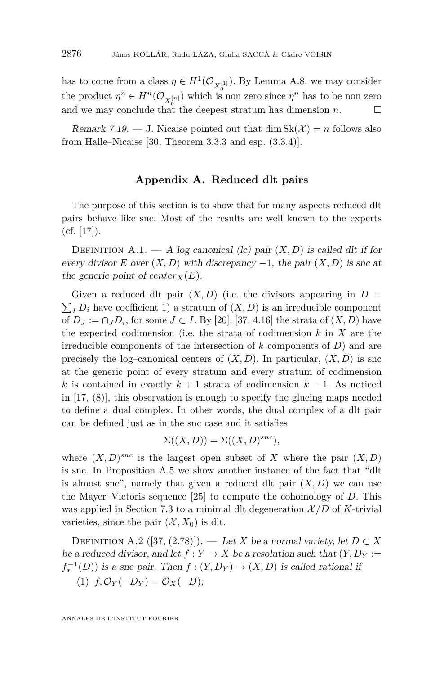has to come from a class  $\eta \in H^1(\mathcal{O}_{X_0^{[1]}})$ . By Lemma [A.8,](#page-42-2) we may consider the product  $\eta^n \in H^n(\mathcal{O}_{X_0^{[n]}})$  which is non zero since  $\bar{\eta}^n$  has to be non zero and we may conclude that the deepest stratum has dimension *n*.  $\square$ 

Remark 7.19. — J. Nicaise pointed out that dim  $Sk(\mathcal{X}) = n$  follows also from Halle–Nicaise [\[30,](#page-44-11) Theorem 3.3.3 and esp. (3.3.4)].

#### **Appendix A. Reduced dlt pairs**

<span id="page-40-1"></span>The purpose of this section is to show that for many aspects reduced dlt pairs behave like snc. Most of the results are well known to the experts  $(cf. [17])$  $(cf. [17])$  $(cf. [17])$ .

<span id="page-40-0"></span>DEFINITION A.1. — A log canonical (lc) pair  $(X, D)$  is called dlt if for every divisor *E* over  $(X, D)$  with discrepancy  $-1$ , the pair  $(X, D)$  is snc at the generic point of  $center_X(E)$ .

Given a reduced dlt pair  $(X, D)$  (i.e. the divisors appearing in  $D =$  $\sum_{I} D_i$  have coefficient 1) a stratum of  $(X, D)$  is an irreducible component of  $D_J := \bigcap_J D_i$ , for some  $J \subset I$ . By [\[20\]](#page-43-7), [\[37,](#page-44-7) 4.16] the strata of  $(X, D)$  have the expected codimension (i.e. the strata of codimension *k* in *X* are the irreducible components of the intersection of *k* components of *D*) and are precisely the log–canonical centers of  $(X, D)$ . In particular,  $(X, D)$  is snc at the generic point of every stratum and every stratum of codimension *k* is contained in exactly  $k + 1$  strata of codimension  $k - 1$ . As noticed in [\[17,](#page-43-6) (8)], this observation is enough to specify the glueing maps needed to define a dual complex. In other words, the dual complex of a dlt pair can be defined just as in the snc case and it satisfies

$$
\Sigma((X,D)) = \Sigma((X,D)^{snc}),
$$

where  $(X, D)^{snc}$  is the largest open subset of *X* where the pair  $(X, D)$ is snc. In Proposition [A.5](#page-41-1) we show another instance of the fact that "dlt is almost snc", namely that given a reduced dlt pair  $(X, D)$  we can use the Mayer–Vietoris sequence [\[25\]](#page-44-20) to compute the cohomology of *D*. This was applied in Section [7.3](#page-38-1) to a minimal dlt degeneration  $\mathcal{X}/D$  of *K*-trivial varieties, since the pair  $(\mathcal{X}, X_0)$  is dlt.

DEFINITION A.2 ([\[37,](#page-44-7) (2.78)]). — Let *X* be a normal variety, let  $D \subset X$ be a reduced divisor, and let  $f: Y \to X$  be a resolution such that  $(Y, D_Y)$ :  $f_*^{-1}(D)$ ) is a snc pair. Then  $f : (Y, D_Y) \to (X, D)$  is called rational if (1)  $f_*\mathcal{O}_Y(-D_Y) = \mathcal{O}_X(-D)$ ;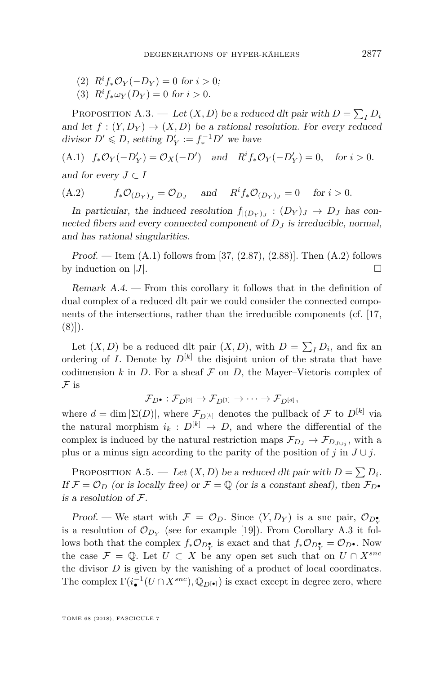- (2)  $R^i f_* \mathcal{O}_Y(-D_Y) = 0$  for  $i > 0$ ;
- (3)  $R^i f_* \omega_Y (D_Y) = 0$  for  $i > 0$ .

<span id="page-41-0"></span>PROPOSITION A.3. — Let  $(X, D)$  be a reduced dlt pair with  $D = \sum_I D_i$ and let  $f : (Y, D_Y) \to (X, D)$  be a rational resolution. For every reduced divisor  $D' \le D$ , setting  $D'_Y := f_*^{-1}D'$  we have

<span id="page-41-2"></span> $(f_*0.1)$   $f_*\mathcal{O}_Y(-D'_Y) = \mathcal{O}_X(-D')$  and  $R^i f_*\mathcal{O}_Y(-D'_Y) = 0$ , for  $i > 0$ . and for every  $J \subset I$ 

<span id="page-41-3"></span>(A.2) 
$$
f_*\mathcal{O}_{(D_Y)_J} = \mathcal{O}_{D_J} \quad \text{and} \quad R^i f_*\mathcal{O}_{(D_Y)_J} = 0 \quad \text{for } i > 0.
$$

In particular, the induced resolution  $f_{|(D_Y)_J} : (D_Y)_J \to D_J$  has connected fibers and every connected component of  $D_J$  is irreducible, normal, and has rational singularities.

*Proof.* — Item  $(A.1)$  follows from [\[37,](#page-44-7)  $(2.87)$ ,  $(2.88)$ ]. Then  $(A.2)$  follows by induction on  $|J|$ .

Remark A.4. — From this corollary it follows that in the definition of dual complex of a reduced dlt pair we could consider the connected components of the intersections, rather than the irreducible components (cf. [\[17,](#page-43-6)  $(8)]$ ).

Let  $(X, D)$  be a reduced dlt pair  $(X, D)$ , with  $D = \sum_{I} D_{i}$ , and fix an ordering of *I*. Denote by  $D^{[k]}$  the disjoint union of the strata that have codimension  $k$  in  $D$ . For a sheaf  $\mathcal F$  on  $D$ , the Mayer–Vietoris complex of  ${\cal F}$  is

$$
\mathcal{F}_{D^{\bullet}}: \mathcal{F}_{D^{[0]}} \to \mathcal{F}_{D^{[1]}} \to \cdots \to \mathcal{F}_{D^{[d]}},
$$

where  $d = \dim |\Sigma(D)|$ , where  $\mathcal{F}_{D^{[k]}}$  denotes the pullback of  $\mathcal F$  to  $D^{[k]}$  via the natural morphism  $i_k : D^{[k]} \to D$ , and where the differential of the complex is induced by the natural restriction maps  $\mathcal{F}_{D_J} \to \mathcal{F}_{D_{J \cup j}}$ , with a plus or a minus sign according to the parity of the position of *j* in  $J \cup j$ .

<span id="page-41-1"></span>PROPOSITION A.5. — Let  $(X, D)$  be a reduced dlt pair with  $D = \sum D_i$ . If  $\mathcal{F} = \mathcal{O}_D$  (or is locally free) or  $\mathcal{F} = \mathbb{Q}$  (or is a constant sheaf), then  $\mathcal{F}_{D}$ • is a resolution of F.

Proof. — We start with  $\mathcal{F} = \mathcal{O}_D$ . Since  $(Y, D_Y)$  is a snc pair,  $\mathcal{O}_{D_Y^*}$ is a resolution of  $\mathcal{O}_{D_Y}$  (see for example [\[19\]](#page-43-20)). From Corollary [A.3](#page-41-0) it follows both that the complex  $f_* \mathcal{O}_{D_Y^{\bullet}}$  is exact and that  $f_* \mathcal{O}_{D_Y^{\bullet}} = \mathcal{O}_{D^{\bullet}}$ . Now the case  $\mathcal{F} = \mathbb{Q}$ . Let  $U \subset X$  be any open set such that on  $U \cap X^{snc}$ the divisor *D* is given by the vanishing of a product of local coordinates. The complex  $\Gamma(i_{\bullet}^{-1}(U \cap X^{snc}), \mathbb{Q}_{D[\bullet]})$  is exact except in degree zero, where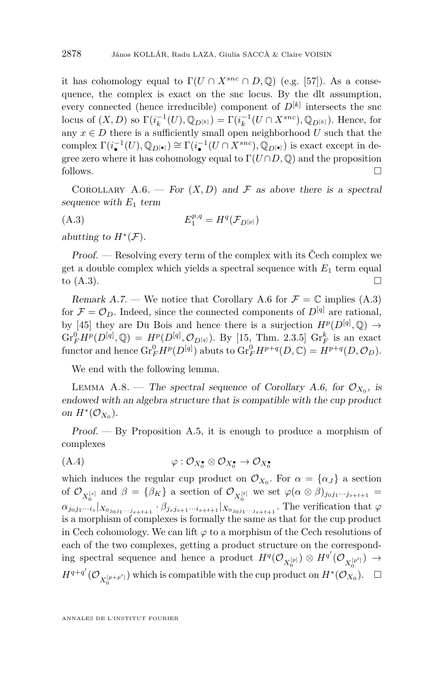it has cohomology equal to  $\Gamma(U \cap X^{snc} \cap D, \mathbb{Q})$  (e.g. [\[57\]](#page-45-21)). As a consequence, the complex is exact on the snc locus. By the dlt assumption, every connected (hence irreducible) component of  $D^{[k]}$  intersects the snc locus of  $(X, D)$  so  $\Gamma(i_k^{-1}(U), \mathbb{Q}_{D^{[k]}}) = \Gamma(i_k^{-1}(U \cap X^{snc}), \mathbb{Q}_{D^{[k]}})$ . Hence, for any  $x \in D$  there is a sufficiently small open neighborhood  $U$  such that the complex  $\Gamma(i_{\bullet}^{-1}(U), \mathbb{Q}_{D^{[\bullet]}}) \cong \Gamma(i_{\bullet}^{-1}(U \cap X^{snc}), \mathbb{Q}_{D^{[\bullet]}})$  is exact except in degree zero where it has cohomology equal to  $\Gamma(U \cap D, \mathbb{Q})$  and the proposition follows.  $\Box$ 

<span id="page-42-0"></span>COROLLARY A.6. — For  $(X, D)$  and F as above there is a spectral sequence with  $E_1$  term

<span id="page-42-1"></span>
$$
E_1^{p,q} = H^q(\mathcal{F}_{D^{[p]}})
$$

abutting to  $H^*(\mathcal{F})$ .

Proof. — Resolving every term of the complex with its Čech complex we get a double complex which yields a spectral sequence with *E*<sup>1</sup> term equal to  $(A.3)$ .

Remark A.7. — We notice that Corollary [A.6](#page-42-0) for  $\mathcal{F} = \mathbb{C}$  implies [\(A.3\)](#page-42-1) for  $\mathcal{F} = \mathcal{O}_D$ . Indeed, since the connected components of  $D^{[q]}$  are rational, by [\[45\]](#page-45-12) they are Du Bois and hence there is a surjection  $H^p(D^{[q]}, \mathbb{Q}) \rightarrow$  $\text{Gr}_F^0 H^p(D^{[q]}, \mathbb{Q}) = H^p(D^{[q]}, \mathcal{O}_{D^{[q]}})$ . By [\[15,](#page-43-21) Thm. 2.3.5]  $\text{Gr}_F^k$  is an exact  $\text{functor and hence } \text{Gr}_{F}^{0}H^{p}(D^{[q]}) \text{ a buts to } \text{Gr}_{F}^{0}H^{p+q}(D,\mathbb{C}) = H^{p+q}(D,\mathcal{O}_{D}).$ 

We end with the following lemma.

<span id="page-42-2"></span>LEMMA A.8. — The spectral sequence of Corollary [A.6,](#page-42-0) for  $\mathcal{O}_{X_0}$ , is endowed with an algebra structure that is compatible with the cup product on  $H^*(\mathcal{O}_{X_0})$ .

Proof. — By Proposition [A.5,](#page-41-1) it is enough to produce a morphism of complexes

$$
(A.4) \qquad \qquad \varphi: \mathcal{O}_{X_0^{\bullet}} \otimes \mathcal{O}_{X_0^{\bullet}} \to \mathcal{O}_{X_0^{\bullet}}
$$

which induces the regular cup product on  $\mathcal{O}_{X_0}$ . For  $\alpha = {\alpha_J}$  a section of  $\mathcal{O}_{X_0^{[s]}}$  and  $\beta = {\beta_K}$  a section of  $\mathcal{O}_{X_0^{[t]}}$  we set  $\varphi(\alpha \otimes \beta)_{j_0j_1\cdots j_{s+t+1}} =$  $\alpha_{j_0j_1\cdots i_s}|_{X_{0_{j_0j_1\cdots j_{s+t+1}}}} \cdot \beta_{j_sj_{s+1}\cdots i_{s+t+1}}|_{X_{0_{j_0j_1\cdots j_{s+t+1}}}}$ . The verification that  $\varphi$ is a morphism of complexes is formally the same as that for the cup product in Cech cohomology. We can lift  $\varphi$  to a morphism of the Cech resolutions of each of the two complexes, getting a product structure on the corresponding spectral sequence and hence a product  $H^q(\mathcal{O}_{X_0^{[p]}}) \otimes H^{q'}(\mathcal{O}_{X_0^{[p']}}) \to$  $H^{q+q'}(\mathcal{O}_{X_0^{[p+p']}})$  which is compatible with the cup product on  $H^*(\mathcal{O}_{X_0})$ .  $\Box$ 0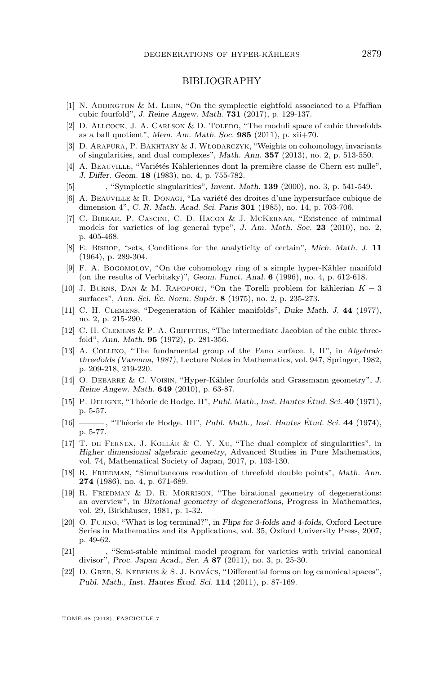#### BIBLIOGRAPHY

- <span id="page-43-14"></span>[1] N. ADDINGTON & M. LEHN, "On the symplectic eightfold associated to a Pfaffian cubic fourfold", J. Reine Angew. Math. **731** (2017), p. 129-137.
- <span id="page-43-17"></span>[2] D. ALLCOCK, J. A. CARLSON & D. TOLEDO, "The moduli space of cubic threefolds as a ball quotient", Mem. Am. Math. Soc. **985** (2011), p. xii+70.
- <span id="page-43-18"></span>[3] D. Arapura, P. Bakhtary & J. Włodarczyk, "Weights on cohomology, invariants of singularities, and dual complexes", Math. Ann. **357** (2013), no. 2, p. 513-550.
- <span id="page-43-19"></span>[4] A. Beauville, "Variétés Kähleriennes dont la première classe de Chern est nulle", J. Differ. Geom. **18** (1983), no. 4, p. 755-782.
- <span id="page-43-4"></span>[5] ——— , "Symplectic singularities", Invent. Math. **139** (2000), no. 3, p. 541-549.
- <span id="page-43-5"></span>[6] A. Beauville & R. Donagi, "La variété des droites d'une hypersurface cubique de dimension 4", C. R. Math. Acad. Sci. Paris **301** (1985), no. 14, p. 703-706.
- <span id="page-43-3"></span>[7] C. Birkar, P. Cascini, C. D. Hacon & J. McKernan, "Existence of minimal models for varieties of log general type", J. Am. Math. Soc. **23** (2010), no. 2, p. 405-468.
- <span id="page-43-11"></span>[8] E. Bishop, "sets, Conditions for the analyticity of certain", Mich. Math. J. **11** (1964), p. 289-304.
- <span id="page-43-9"></span>[9] F. A. BOGOMOLOV, "On the cohomology ring of a simple hyper-Kähler manifold (on the results of Verbitsky)", Geom. Funct. Anal. **6** (1996), no. 4, p. 612-618.
- <span id="page-43-12"></span>[10] J. Burns, Dan & M. Rapoport, "On the Torelli problem for kählerian *K* − 3 surfaces", Ann. Sci. Éc. Norm. Supér. **8** (1975), no. 2, p. 235-273.
- <span id="page-43-8"></span>[11] C. H. Clemens, "Degeneration of Kähler manifolds", Duke Math. J. **44** (1977), no. 2, p. 215-290.
- <span id="page-43-15"></span>[12] C. H. CLEMENS  $&$  P. A. GRIFFITHS, "The intermediate Jacobian of the cubic threefold", Ann. Math. **95** (1972), p. 281-356.
- <span id="page-43-16"></span>[13] A. COLLINO, "The fundamental group of the Fano surface. I, II", in Algebraic threefolds (Varenna, 1981), Lecture Notes in Mathematics, vol. 947, Springer, 1982, p. 209-218, 219-220.
- <span id="page-43-0"></span>[14] O. DEBARRE & C. VOISIN, "Hyper-Kähler fourfolds and Grassmann geometry", J. Reine Angew. Math. **649** (2010), p. 63-87.
- <span id="page-43-21"></span>[15] P. Deligne, "Théorie de Hodge. II", Publ. Math., Inst. Hautes Étud. Sci. **40** (1971), p. 5-57.
- <span id="page-43-13"></span>[16] ——— , "Théorie de Hodge. III", Publ. Math., Inst. Hautes Étud. Sci. **44** (1974), p. 5-77.
- <span id="page-43-6"></span>[17] T. de Fernex, J. Kollár & C. Y. Xu, "The dual complex of singularities", in Higher dimensional algebraic geometry, Advanced Studies in Pure Mathematics, vol. 74, Mathematical Society of Japan, 2017, p. 103-130.
- <span id="page-43-1"></span>[18] R. FRIEDMAN, "Simultaneous resolution of threefold double points", Math. Ann. **274** (1986), no. 4, p. 671-689.
- <span id="page-43-20"></span>[19] R. FRIEDMAN & D. R. MORRISON, "The birational geometry of degenerations: an overview", in Birational geometry of degenerations, Progress in Mathematics, vol. 29, Birkhäuser, 1981, p. 1-32.
- <span id="page-43-7"></span>[20] O. Fujino, "What is log terminal?", in Flips for 3-folds and 4-folds, Oxford Lecture Series in Mathematics and its Applications, vol. 35, Oxford University Press, 2007, p. 49-62.
- <span id="page-43-2"></span>[21] ——— , "Semi-stable minimal model program for varieties with trivial canonical divisor", Proc. Japan Acad., Ser. A **87** (2011), no. 3, p. 25-30.
- <span id="page-43-10"></span>[22] D. Greb, S. Kebekus & S. J. Kovács, "Differential forms on log canonical spaces", Publ. Math., Inst. Hautes Étud. Sci. **114** (2011), p. 87-169.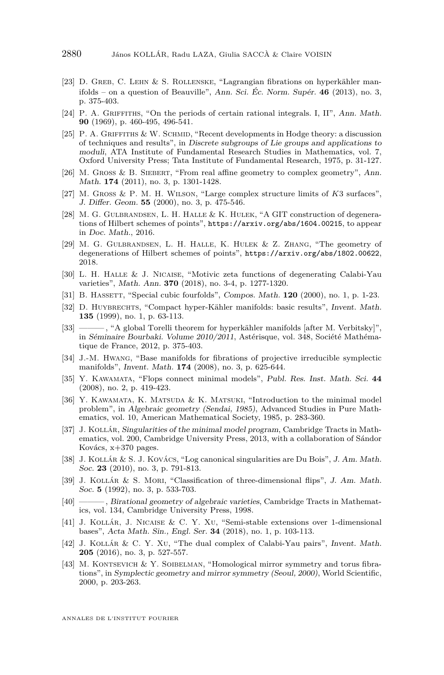- <span id="page-44-13"></span>[23] D. Greb, C. Lehn & S. Rollenske, "Lagrangian fibrations on hyperkähler manifolds – on a question of Beauville", Ann. Sci. Éc. Norm. Supér. **46** (2013), no. 3, p. 375-403.
- <span id="page-44-12"></span>[24] P. A. GRIFFITHS, "On the periods of certain rational integrals. I, II", Ann. Math. **90** (1969), p. 460-495, 496-541.
- <span id="page-44-20"></span>[25] P. A. GRIFFITHS & W. SCHMID, "Recent developments in Hodge theory: a discussion of techniques and results", in Discrete subgroups of Lie groups and applications to moduli, ATA Institute of Fundamental Research Studies in Mathematics, vol. 7, Oxford University Press; Tata Institute of Fundamental Research, 1975, p. 31-127.
- <span id="page-44-18"></span>[26] M. Gross & B. Siebert, "From real affine geometry to complex geometry", Ann. Math. **174** (2011), no. 3, p. 1301-1428.
- <span id="page-44-17"></span>[27] M. Gross & P. M. H. Wilson, "Large complex structure limits of *K*3 surfaces", J. Differ. Geom. **55** (2000), no. 3, p. 475-546.
- <span id="page-44-15"></span>[28] M. G. Gulbrandsen, L. H. Halle & K. Hulek, "A GIT construction of degenerations of Hilbert schemes of points", <https://arxiv.org/abs/1604.00215>, to appear in Doc. Math., 2016.
- <span id="page-44-16"></span>[29] M. G. Gulbrandsen, L. H. Halle, K. Hulek & Z. Zhang, "The geometry of degenerations of Hilbert schemes of points", <https://arxiv.org/abs/1802.00622>, 2018.
- <span id="page-44-11"></span>[30] L. H. Halle & J. Nicaise, "Motivic zeta functions of degenerating Calabi-Yau varieties", Math. Ann. **370** (2018), no. 3-4, p. 1277-1320.
- <span id="page-44-14"></span>[31] B. HASSETT, "Special cubic fourfolds", Compos. Math. **120** (2000), no. 1, p. 1-23.
- <span id="page-44-0"></span>[32] D. Huybrechts, "Compact hyper-Kähler manifolds: basic results", Invent. Math. **135** (1999), no. 1, p. 63-113.
- <span id="page-44-1"></span>[33] ——— , "A global Torelli theorem for hyperkähler manifolds [after M. Verbitsky]", in Séminaire Bourbaki. Volume 2010/2011, Astérisque, vol. 348, Société Mathématique de France, 2012, p. 375-403.
- <span id="page-44-19"></span>[34] J.-M. Hwang, "Base manifolds for fibrations of projective irreducible symplectic manifolds", Invent. Math. **174** (2008), no. 3, p. 625-644.
- <span id="page-44-6"></span>[35] Y. Kawamata, "Flops connect minimal models", Publ. Res. Inst. Math. Sci. **44** (2008), no. 2, p. 419-423.
- <span id="page-44-8"></span>[36] Y. KAWAMATA, K. MATSUDA & K. MATSUKI, "Introduction to the minimal model problem", in Algebraic geometry (Sendai, 1985), Advanced Studies in Pure Mathematics, vol. 10, American Mathematical Society, 1985, p. 283-360.
- <span id="page-44-7"></span>[37] J. Kollár, Singularities of the minimal model program, Cambridge Tracts in Mathematics, vol. 200, Cambridge University Press, 2013, with a collaboration of Sándor Kovács, x+370 pages.
- <span id="page-44-2"></span>[38] J. KOLLÁR & S. J. KOVÁCS, "Log canonical singularities are Du Bois", J. Am. Math. Soc. **23** (2010), no. 3, p. 791-813.
- <span id="page-44-3"></span>[39] J. Kollár & S. Mori, "Classification of three-dimensional flips", J. Am. Math. Soc. **5** (1992), no. 3, p. 533-703.
- <span id="page-44-10"></span>[40] ——— , Birational geometry of algebraic varieties, Cambridge Tracts in Mathematics, vol. 134, Cambridge University Press, 1998.
- <span id="page-44-9"></span>[41] J. Kollár, J. Nicaise & C. Y. Xu, "Semi-stable extensions over 1-dimensional bases", Acta Math. Sin., Engl. Ser. **34** (2018), no. 1, p. 103-113.
- <span id="page-44-5"></span>[42] J. Kollár & C. Y. Xu, "The dual complex of Calabi-Yau pairs", Invent. Math. **205** (2016), no. 3, p. 527-557.
- <span id="page-44-4"></span>[43] M. KONTSEVICH & Y. SOIBELMAN, "Homological mirror symmetry and torus fibrations", in Symplectic geometry and mirror symmetry (Seoul, 2000), World Scientific, 2000, p. 203-263.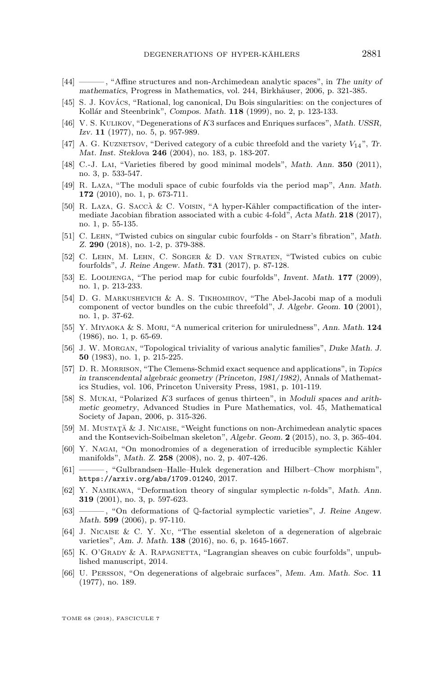- <span id="page-45-8"></span>[44] ——— , "Affine structures and non-Archimedean analytic spaces", in The unity of mathematics, Progress in Mathematics, vol. 244, Birkhäuser, 2006, p. 321-385.
- <span id="page-45-12"></span>[45] S. J. Kovács, "Rational, log canonical, Du Bois singularities: on the conjectures of Kollár and Steenbrink", Compos. Math. **118** (1999), no. 2, p. 123-133.
- <span id="page-45-10"></span>[46] V. S. KULIKOV, "Degenerations of *K3* surfaces and Enriques surfaces", Math. USSR, Izv. **11** (1977), no. 5, p. 957-989.
- <span id="page-45-17"></span>[47] A. G. KUZNETSOV, "Derived category of a cubic threefold and the variety  $V_{14}$ ", Tr. Mat. Inst. Steklova **246** (2004), no. 183, p. 183-207.
- <span id="page-45-2"></span>[48] C.-J. Lai, "Varieties fibered by good minimal models", Math. Ann. **350** (2011), no. 3, p. 533-547.
- <span id="page-45-14"></span>[49] R. Laza, "The moduli space of cubic fourfolds via the period map", Ann. Math. **172** (2010), no. 1, p. 673-711.
- <span id="page-45-0"></span>[50] R. Laza, G. Saccà & C. Voisin, "A hyper-Kähler compactification of the intermediate Jacobian fibration associated with a cubic 4-fold", Acta Math. **218** (2017), no. 1, p. 55-135.
- <span id="page-45-19"></span>[51] C. Lehn, "Twisted cubics on singular cubic fourfolds - on Starr's fibration", Math. Z. **290** (2018), no. 1-2, p. 379-388.
- <span id="page-45-13"></span>[52] C. Lehn, M. Lehn, C. Sorger & D. van Straten, "Twisted cubics on cubic fourfolds", J. Reine Angew. Math. **731** (2017), p. 87-128.
- <span id="page-45-18"></span>[53] E. LOOIJENGA, "The period map for cubic fourfolds", Invent. Math. 177 (2009), no. 1, p. 213-233.
- <span id="page-45-16"></span>[54] D. G. Markushevich & A. S. Tikhomirov, "The Abel-Jacobi map of a moduli component of vector bundles on the cubic threefold", J. Algebr. Geom. **10** (2001), no. 1, p. 37-62.
- <span id="page-45-11"></span>[55] Y. Miyaoka & S. Mori, "A numerical criterion for uniruledness", Ann. Math. **124** (1986), no. 1, p. 65-69.
- <span id="page-45-1"></span>[56] J. W. Morgan, "Topological triviality of various analytic families", Duke Math. J. **50** (1983), no. 1, p. 215-225.
- <span id="page-45-21"></span>[57] D. R. MORRISON, "The Clemens-Schmid exact sequence and applications", in Topics in transcendental algebraic geometry (Princeton, 1981/1982), Annals of Mathematics Studies, vol. 106, Princeton University Press, 1981, p. 101-119.
- <span id="page-45-15"></span>[58] S. Mukai, "Polarized *K*3 surfaces of genus thirteen", in Moduli spaces and arithmetic geometry, Advanced Studies in Pure Mathematics, vol. 45, Mathematical Society of Japan, 2006, p. 315-326.
- <span id="page-45-6"></span>[59] M. Mustaţă & J. Nicaise, "Weight functions on non-Archimedean analytic spaces and the Kontsevich-Soibelman skeleton", Algebr. Geom. **2** (2015), no. 3, p. 365-404.
- <span id="page-45-9"></span>[60] Y. Nagai, "On monodromies of a degeneration of irreducible symplectic Kähler manifolds", Math. Z. **258** (2008), no. 2, p. 407-426.
- <span id="page-45-22"></span>[61] ——— , "Gulbrandsen–Halle–Hulek degeneration and Hilbert–Chow morphism", <https://arxiv.org/abs/1709.01240>, 2017.
- <span id="page-45-3"></span>[62] Y. Namikawa, "Deformation theory of singular symplectic *n*-folds", Math. Ann. **319** (2001), no. 3, p. 597-623.
- <span id="page-45-4"></span>[63] ——— , "On deformations of Q-factorial symplectic varieties", J. Reine Angew. Math. **599** (2006), p. 97-110.
- <span id="page-45-7"></span>[64] J. Nicaise & C. Y. Xu, "The essential skeleton of a degeneration of algebraic varieties", Am. J. Math. **138** (2016), no. 6, p. 1645-1667.
- <span id="page-45-5"></span>[65] K. O'GRADY & A. RAPAGNETTA, "Lagrangian sheaves on cubic fourfolds", unpublished manuscript, 2014.
- <span id="page-45-20"></span>[66] U. Persson, "On degenerations of algebraic surfaces", Mem. Am. Math. Soc. **11** (1977), no. 189.